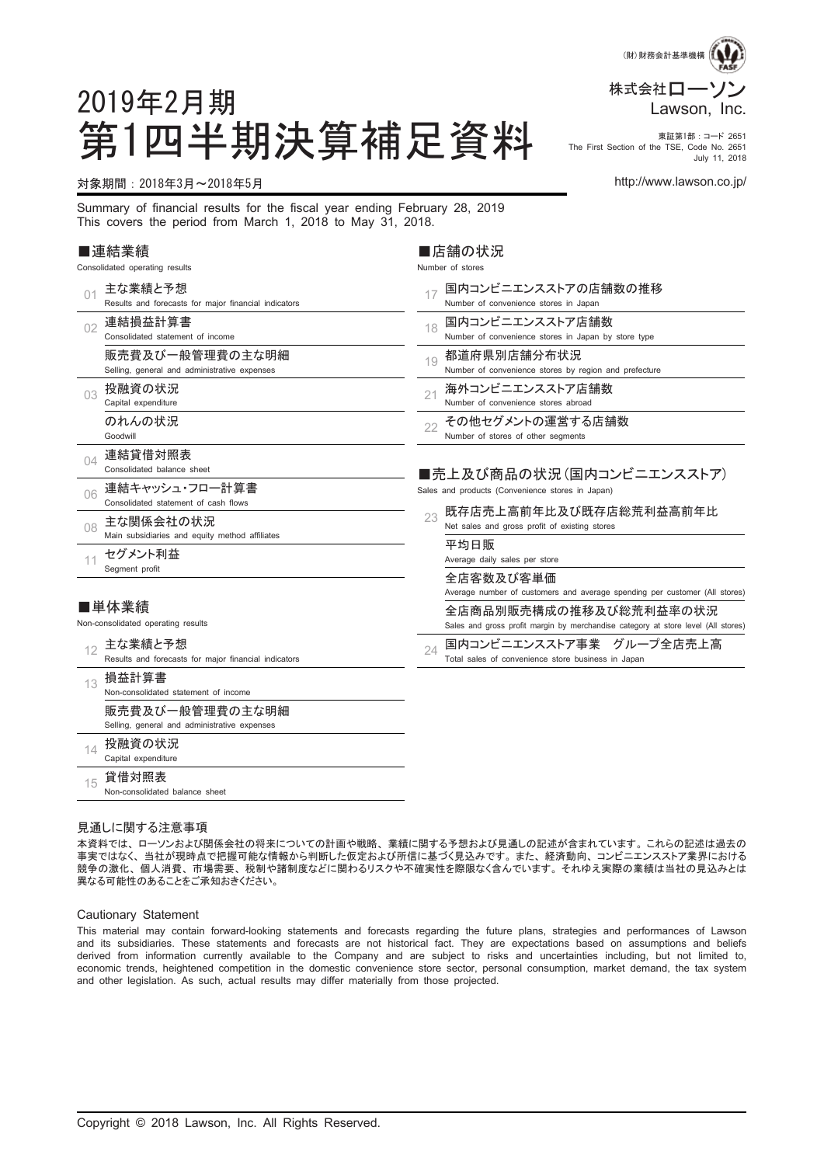

第1四半期決算補足資料 市Elist Section of the TSE, Code No. 2851 The First Section of the TSE, Code No. 2651 July 11, 2018

#### 対象期間:2018年3月~2018年5月 http://www.lawson.co.jp/

2019年2月期

Summary of financial results for the fiscal year ending February 28, 2019 This covers the period from March 1, 2018 to May 31, 2018.

#### ■連結業績

Consolidated operating results

| 01 | 主な業績と予想<br>Results and forecasts for major financial indicators | 国内コンビニエンスストアの店舗数の推移<br>17<br>Number of convenience stores in Japan                                          |
|----|-----------------------------------------------------------------|-------------------------------------------------------------------------------------------------------------|
| 02 | 連結損益計算書<br>Consolidated statement of income                     | 国内コンビニエンスストア店舗数<br>18<br>Number of convenience stores in Japan by store type                                |
|    | 販売費及び一般管理費の主な明細<br>Selling, general and administrative expenses | 都道府県別店舗分布状況<br>19<br>Number of convenience stores by region and prefecture                                  |
| 03 | 投融資の状況<br>Capital expenditure                                   | 海外コンビニエンスストア店舗数<br>21<br>Number of convenience stores abroad                                                |
|    | のれんの状況<br>Goodwill                                              | その他セグメントの運営する店舗数<br>22<br>Number of stores of other segments                                                |
| 04 | 連結貸借対照表<br>Consolidated balance sheet                           | ■売上及び商品の状況(国内コンビニエンスストア)                                                                                    |
| 06 | 連結キャッシュ・フロー計算書<br>Consolidated statement of cash flows          | Sales and products (Convenience stores in Japan)                                                            |
| 08 | 主な関係会社の状況<br>Main subsidiaries and equity method affiliates     | 既存店売上高前年比及び既存店総荒利益高前年比<br>23<br>Net sales and gross profit of existing stores                               |
| 11 | セグメント利益<br>Segment profit                                       | 平均日販<br>Average daily sales per store                                                                       |
|    |                                                                 | 全店客数及び客単価<br>Average number of customers and average spending per customer (All stores)                     |
|    | ■単体業績<br>Non-consolidated operating results                     | 全店商品別販売構成の推移及び総荒利益率の状況<br>Sales and gross profit margin by merchandise category at store level (All stores) |
| 12 | 主な業績と予想<br>Results and forecasts for major financial indicators | 国内コンビニエンスストア事業 グループ全店売上高<br>24<br>Total sales of convenience store business in Japan                        |
| 13 | 損益計算書<br>Non-consolidated statement of income                   |                                                                                                             |
|    | 販売費及び一般管理費の主な明細<br>Selling, general and administrative expenses |                                                                                                             |
| 14 | 投融資の状況<br>Capital expenditure                                   |                                                                                                             |
| 15 | 貸借対照表<br>Non-consolidated balance sheet                         |                                                                                                             |

■店舗の状況 Number of stores

#### 見通しに関する注意事項

本資料では、ローソンおよび関係会社の将来についての計画や戦略、業績に関する予想および見通しの記述が含まれています。これらの記述は過去の 事実ではなく、当社が現時点で把握可能な情報から判断した仮定および所信に基づく見込みです。また、経済動向、コンビニエンスストア業界における 競争の激化、個人消費、市場需要、税制や諸制度などに関わるリスクや不確実性を際限なく含んでいます。それゆえ実際の業績は当社の見込みとは 異なる可能性のあることをご承知おきください。

#### Cautionary Statement

This material may contain forward-looking statements and forecasts regarding the future plans, strategies and performances of Lawson and its subsidiaries. These statements and forecasts are not historical fact. They are expectations based on assumptions and beliefs derived from information currently available to the Company and are subject to risks and uncertainties including, but not limited to, economic trends, heightened competition in the domestic convenience store sector, personal consumption, market demand, the tax system and other legislation. As such, actual results may differ materially from those projected.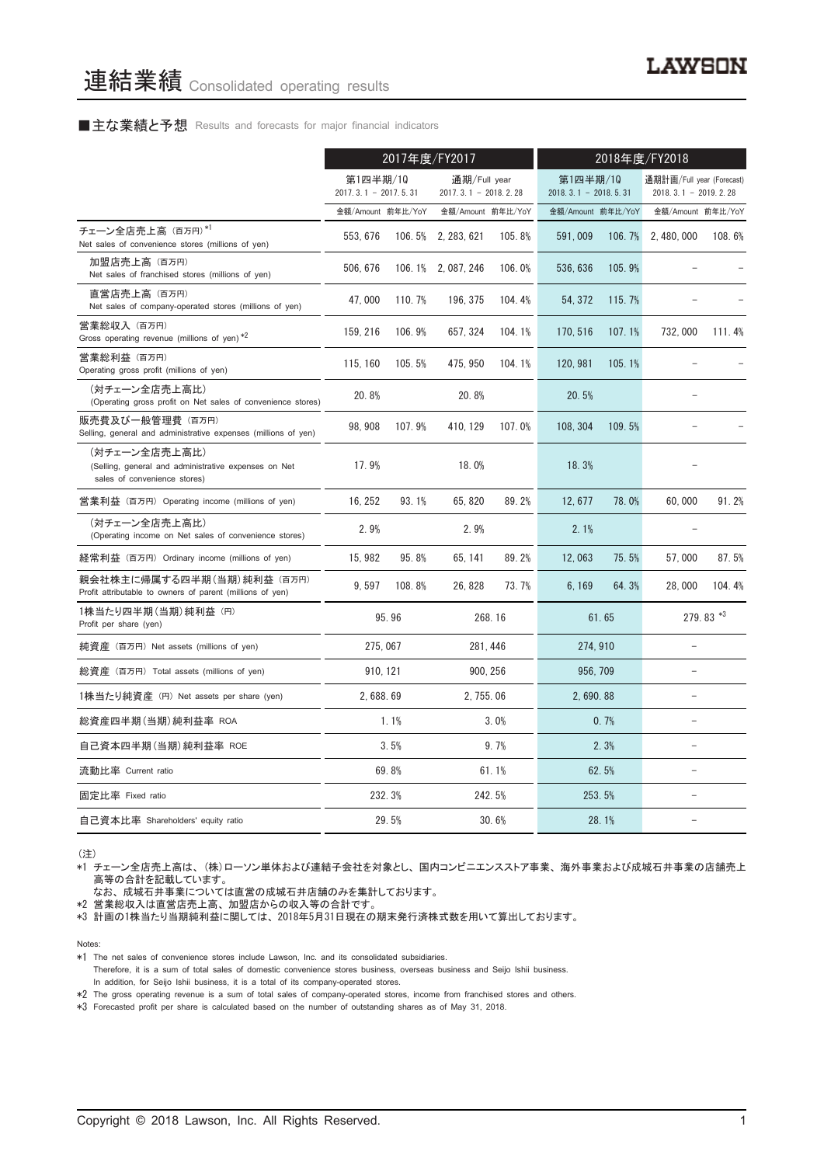#### ■主な業績と予想 Results and forecasts for major financial indicators

|                                                                                                       | 2017年度/FY2017                      |        |                                          | 2018年度/FY2018 |                                    |        |                                                     |           |
|-------------------------------------------------------------------------------------------------------|------------------------------------|--------|------------------------------------------|---------------|------------------------------------|--------|-----------------------------------------------------|-----------|
|                                                                                                       | 第1四半期/10<br>$2017.3.1 - 2017.5.31$ |        | 通期/Full year<br>2017. 3. 1 - 2018. 2. 28 |               | 第1四半期/10<br>$2018.3.1 - 2018.5.31$ |        | 通期計画/Full year (Forecast)<br>$2018.3.1 - 2019.2.28$ |           |
|                                                                                                       | 金額/Amount 前年比/YoY                  |        | 金額/Amount 前年比/YoY                        |               | 金額/Amount 前年比/YoY                  |        | 金額/Amount 前年比/YoY                                   |           |
| チェーン全店売上高 (百万円)*1<br>Net sales of convenience stores (millions of yen)                                | 553.676                            | 106.5% | 2, 283, 621                              | 105.8%        | 591.009                            | 106.7% | 2.480.000                                           | 108.6%    |
| 加盟店売上高 (百万円)<br>Net sales of franchised stores (millions of yen)                                      | 506, 676                           |        | 106.1% 2,087,246                         | 106.0%        | 536, 636                           | 105.9% |                                                     |           |
| 直営店売上高(百万円)<br>Net sales of company-operated stores (millions of yen)                                 | 47,000                             | 110.7% | 196, 375                                 | 104.4%        | 54, 372                            | 115.7% |                                                     |           |
| 営業総収入 (百万円)<br>Gross operating revenue (millions of yen) $*2$                                         | 159, 216                           | 106.9% | 657, 324                                 | 104.1%        | 170, 516                           | 107.1% | 732,000                                             | 111.4%    |
| 営業総利益 (百万円)<br>Operating gross profit (millions of yen)                                               | 115, 160                           | 105.5% | 475, 950                                 | 104.1%        | 120, 981                           | 105.1% |                                                     |           |
| (対チェーン全店売上高比)<br>(Operating gross profit on Net sales of convenience stores)                          | 20.8%                              |        | 20.8%                                    |               | 20.5%                              |        |                                                     |           |
| 販売費及び一般管理費(百万円)<br>Selling, general and administrative expenses (millions of yen)                     | 98, 908                            | 107.9% | 410, 129                                 | 107.0%        | 108, 304                           | 109.5% |                                                     |           |
| (対チェーン全店売上高比)<br>(Selling, general and administrative expenses on Net<br>sales of convenience stores) | 17.9%                              |        | 18.0%                                    |               | 18.3%                              |        |                                                     |           |
| 営業利益 (百万円) Operating income (millions of yen)                                                         | 16.252                             | 93.1%  | 65.820                                   | 89.2%         | 12.677                             | 78.0%  | 60.000                                              | 91.2%     |
| (対チェーン全店売上高比)<br>(Operating income on Net sales of convenience stores)                                | 2.9%                               |        | 2.9%                                     |               | 2.1%                               |        |                                                     |           |
| 経常利益 (百万円) Ordinary income (millions of yen)                                                          | 15, 982                            | 95.8%  | 65, 141                                  | 89.2%         | 12,063                             | 75.5%  | 57,000                                              | 87.5%     |
| 親会社株主に帰属する四半期 (当期) 純利益 (百万円)<br>Profit attributable to owners of parent (millions of yen)             | 9.597                              | 108.8% | 26, 828                                  | 73.7%         | 6, 169                             | 64.3%  | 28,000                                              | 104.4%    |
| 1株当たり四半期 (当期) 純利益 (円)<br>Profit per share (yen)                                                       |                                    | 95.96  |                                          | 268.16        |                                    | 61.65  |                                                     | 279.83 *3 |
| 純資産 (百万円) Net assets (millions of yen)                                                                | 275.067                            |        |                                          | 281.446       | 274.910                            |        |                                                     |           |
| 総資産 (百万円) Total assets (millions of yen)                                                              | 910, 121                           |        |                                          | 900, 256      | 956, 709                           |        | L.                                                  |           |
| 1株当たり純資産 (円) Net assets per share (yen)                                                               | 2,688.69                           |        | 2, 755, 06                               |               | 2,690.88                           |        | L.                                                  |           |
| 総資産四半期(当期) 純利益率 ROA                                                                                   |                                    | 1.1%   |                                          | 3.0%          |                                    | 0.7%   |                                                     |           |
| 自己資本四半期(当期) 純利益率 ROE                                                                                  |                                    | 3.5%   |                                          | 9.7%          |                                    | 2.3%   |                                                     |           |
| 流動比率 Current ratio                                                                                    |                                    | 69.8%  |                                          | 61.1%         |                                    | 62.5%  |                                                     |           |
| 固定比率 Fixed ratio                                                                                      |                                    | 232.3% |                                          | 242.5%        |                                    | 253.5% |                                                     |           |
| 自己資本比率 Shareholders' equity ratio                                                                     |                                    | 29.5%  |                                          | 30.6%         |                                    | 28.1%  |                                                     |           |

(注)

\*1 チェーン全店売上高は、(株)ローソン単体および連結子会社を対象とし、国内コンビニエンスストア事業、海外事業および成城石井事業の店舗売上 高等の合計を記載しています。

なお、成城石井事業については直営の成城石井店舗のみを集計しております。

\*2 営業総収入は直営店売上高、加盟店からの収入等の合計です。

\*3 計画の1株当たり当期純利益に関しては、2018年5月31日現在の期末発行済株式数を用いて算出しております。

Notes:

\*1 The net sales of convenience stores include Lawson, Inc. and its consolidated subsidiaries.

Therefore, it is a sum of total sales of domestic convenience stores business, overseas business and Seijo Ishii business. In addition, for Seijo Ishii business, it is a total of its company-operated stores.

\*2 The gross operating revenue is a sum of total sales of company-operated stores, income from franchised stores and others.

\*3 Forecasted profit per share is calculated based on the number of outstanding shares as of May 31, 2018.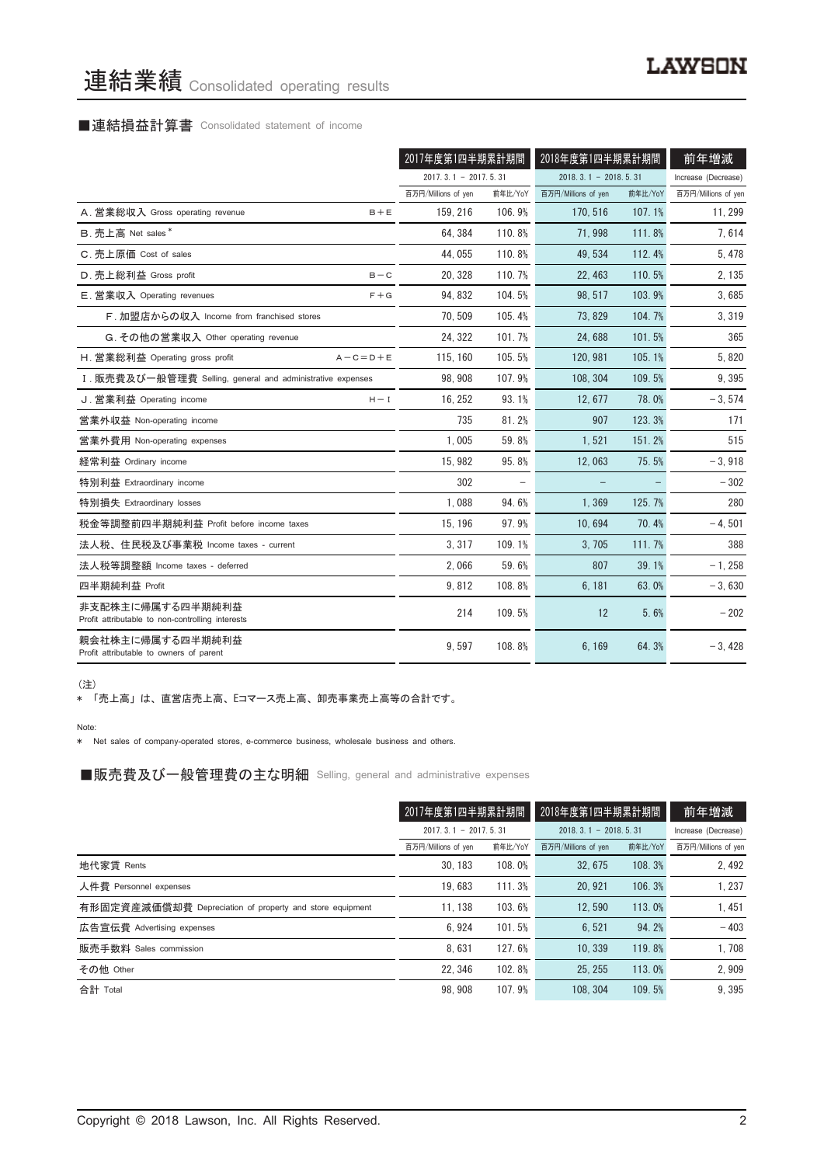# 連結業績 Consolidated operating results

## ■連結損益計算書 Consolidated statement of income

|                                                                      | 2017年度第1四半期累計期間        |         | 2018年度第1四半期累計期間        |         | 前年増減                |
|----------------------------------------------------------------------|------------------------|---------|------------------------|---------|---------------------|
|                                                                      | $2017.3.1 - 2017.5.31$ |         | $2018.3.1 - 2018.5.31$ |         | Increase (Decrease) |
|                                                                      | 百万円/Millions of yen    | 前年比/YoY | 百万円/Millions of yen    | 前年比/YoY | 百万円/Millions of yen |
| A. 営業総収入 Gross operating revenue<br>$B + E$                          | 159.216                | 106.9%  | 170.516                | 107.1%  | 11, 299             |
| B. 売上高 Net sales*                                                    | 64.384                 | 110.8%  | 71.998                 | 111.8%  | 7,614               |
| C. 売上原価 Cost of sales                                                | 44.055                 | 110.8%  | 49.534                 | 112.4%  | 5, 478              |
| D. 売上総利益 Gross profit<br>$B - C$                                     | 20, 328                | 110.7%  | 22, 463                | 110.5%  | 2, 135              |
| E. 営業収入 Operating revenues<br>$F + G$                                | 94.832                 | 104.5%  | 98.517                 | 103.9%  | 3,685               |
| F. 加盟店からの収入 Income from franchised stores                            | 70, 509                | 105.4%  | 73.829                 | 104.7%  | 3,319               |
| G. その他の営業収入 Other operating revenue                                  | 24, 322                | 101.7%  | 24.688                 | 101.5%  | 365                 |
| H. 営業総利益 Operating gross profit<br>$A - C = D + E$                   | 115, 160               | 105.5%  | 120, 981               | 105.1%  | 5,820               |
| I. 販売費及び一般管理費 Selling, general and administrative expenses           | 98.908                 | 107.9%  | 108, 304               | 109.5%  | 9,395               |
| J. 営業利益 Operating income<br>$H - I$                                  | 16, 252                | 93.1%   | 12, 677                | 78.0%   | $-3,574$            |
| 営業外収益 Non-operating income                                           | 735                    | 81.2%   | 907                    | 123.3%  | 171                 |
| 営業外費用 Non-operating expenses                                         | 1,005                  | 59.8%   | 1,521                  | 151.2%  | 515                 |
| 経常利益 Ordinary income                                                 | 15.982                 | 95.8%   | 12.063                 | 75.5%   | $-3,918$            |
| 特別利益 Extraordinary income                                            | 302                    |         |                        |         | $-302$              |
| 特別損失 Extraordinary losses                                            | 1.088                  | 94.6%   | 1,369                  | 125.7%  | 280                 |
| 税金等調整前四半期純利益 Profit before income taxes                              | 15, 196                | 97.9%   | 10,694                 | 70.4%   | $-4,501$            |
| 法人税、住民税及び事業税 Income taxes - current                                  | 3.317                  | 109.1%  | 3.705                  | 111.7%  | 388                 |
| 法人税等調整額 Income taxes - deferred                                      | 2.066                  | 59.6%   | 807                    | 39.1%   | $-1.258$            |
| 四半期純利益 Profit                                                        | 9.812                  | 108.8%  | 6.181                  | 63.0%   | $-3,630$            |
| 非支配株主に帰属する四半期純利益<br>Profit attributable to non-controlling interests | 214                    | 109.5%  | 12                     | 5.6%    | $-202$              |
| 親会社株主に帰属する四半期純利益<br>Profit attributable to owners of parent          | 9.597                  | 108.8%  | 6.169                  | 64.3%   | $-3,428$            |

(注)

\* 「売上高」は、直営店売上高、Eコマース売上高、卸売事業売上高等の合計です。

Note:

\* Net sales of company-operated stores, e-commerce business, wholesale business and others.

■販売費及び一般管理費の主な明細 Selling, general and administrative expenses

|                                                          | 2017年度第1四半期累計期間            |         | 2018年度第1四半期累計期間        |         | 前年増減                |
|----------------------------------------------------------|----------------------------|---------|------------------------|---------|---------------------|
|                                                          | $2017, 3, 1 - 2017, 5, 31$ |         | $2018.3.1 - 2018.5.31$ |         | Increase (Decrease) |
|                                                          | 百万円/Millions of yen        | 前年比/YoY | 百万円/Millions of yen    | 前年比/YoY | 百万円/Millions of yen |
| 地代家賃 Rents                                               | 30.183                     | 108.0%  | 32.675                 | 108.3%  | 2.492               |
| 人件費 Personnel expenses                                   | 19.683                     | 111.3%  | 20.921                 | 106.3%  | 1.237               |
| 有形固定資産減価償却費 Depreciation of property and store equipment | 11.138                     | 103.6%  | 12.590                 | 113.0%  | 1.451               |
| 広告宣伝費 Advertising expenses                               | 6.924                      | 101.5%  | 6.521                  | 94.2%   | $-403$              |
| 販売手数料 Sales commission                                   | 8.631                      | 127.6%  | 10.339                 | 119.8%  | 1,708               |
| その他 Other                                                | 22.346                     | 102.8%  | 25.255                 | 113.0%  | 2,909               |
| 合計 Total                                                 | 98.908                     | 107.9%  | 108.304                | 109.5%  | 9.395               |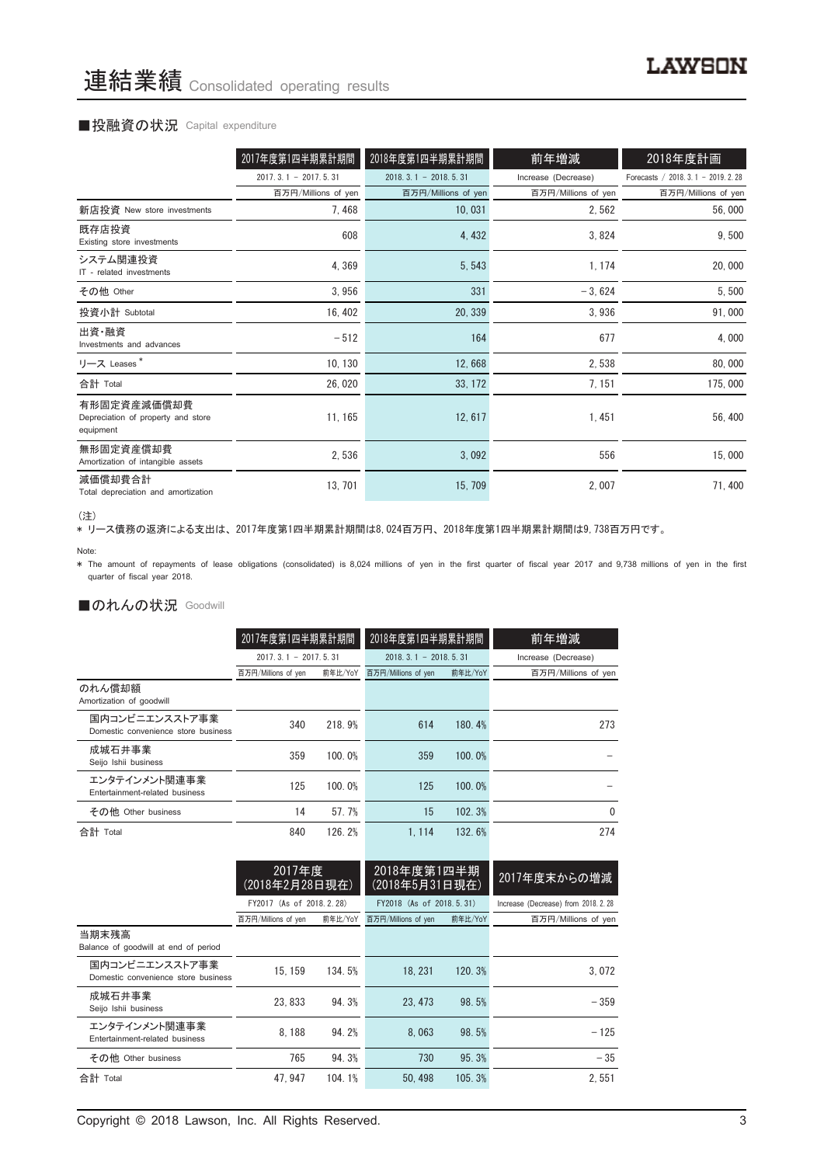#### ■投融資の状況 Capital expenditure

|                                                                | 2017年度第1四半期累計期間        | 2018年度第1四半期累計期間            | 前年増減                | 2018年度計画                            |
|----------------------------------------------------------------|------------------------|----------------------------|---------------------|-------------------------------------|
|                                                                | $2017.3.1 - 2017.5.31$ | $2018, 3, 1 - 2018, 5, 31$ | Increase (Decrease) | Forecasts / 2018. 3.1 - 2019. 2. 28 |
|                                                                | 百万円/Millions of yen    | 百万円/Millions of yen        | 百万円/Millions of yen | 百万円/Millions of yen                 |
| 新店投資 New store investments                                     | 7, 468                 | 10,031                     | 2,562               | 56,000                              |
| 既存店投資<br>Existing store investments                            | 608                    | 4,432                      | 3,824               | 9,500                               |
| システム関連投資<br>IT - related investments                           | 4,369                  | 5,543                      | 1, 174              | 20,000                              |
| その他 Other                                                      | 3,956                  | 331                        | $-3,624$            | 5,500                               |
| 投資小計 Subtotal                                                  | 16, 402                | 20, 339                    | 3,936               | 91,000                              |
| 出資·融資<br>Investments and advances                              | $-512$                 | 164                        | 677                 | 4,000                               |
| リース Leases*                                                    | 10, 130                | 12,668                     | 2,538               | 80,000                              |
| 合計 Total                                                       | 26,020                 | 33, 172                    | 7, 151              | 175,000                             |
| 有形固定資産減価償却費<br>Depreciation of property and store<br>equipment | 11, 165                | 12, 617                    | 1, 451              | 56,400                              |
| 無形固定資産償却費<br>Amortization of intangible assets                 | 2,536                  | 3,092                      | 556                 | 15,000                              |
| 減価償却費合計<br>Total depreciation and amortization                 | 13, 701                | 15, 709                    | 2,007               | 71,400                              |

<sup>(</sup>注)

\* リース債務の返済による支出は、2017年度第1四半期累計期間は8,024百万円、2018年度第1四半期累計期間は9,738百万円です。

\* The amount of repayments of lease obligations (consolidated) is 8,024 millions of yen in the first quarter of fiscal year 2017 and 9,738 millions of yen in the first quarter of fiscal year 2018.

#### ■のれんの状況 Goodwill

|                                                       | 2017年度第1四半期累計期間        |         | 2018年度第1四半期累計期間        |         | 前年増減                |
|-------------------------------------------------------|------------------------|---------|------------------------|---------|---------------------|
|                                                       | $2017.3.1 - 2017.5.31$ |         | $2018.3.1 - 2018.5.31$ |         | Increase (Decrease) |
|                                                       | 百万円/Millions of yen    | 前年比/YoY | 百万円/Millions of yen    | 前年比/YoY | 百万円/Millions of yen |
| のれん償却額<br>Amortization of goodwill                    |                        |         |                        |         |                     |
| 国内コンビニエンスストア事業<br>Domestic convenience store business | 340                    | 218.9%  | 614                    | 180.4%  | 273                 |
| 成城石井事業<br>Seijo Ishii business                        | 359                    | 100.0%  | 359                    | 100.0%  |                     |
| エンタテインメント関連事業<br>Entertainment-related business       | 125                    | 100.0%  | 125                    | 100.0%  |                     |
| その他 Other business                                    | 14                     | 57.7%   | 15                     | 102.3%  | 0                   |
| 合計 Total                                              | 840                    | 126.2%  | 1.114                  | 132.6%  | 274                 |

|                                                       | 2017年度<br>(2018年2月28日現在) |         | 2018年度第1四半期<br>(2018年5月31日現在) |         | 2017年度末からの増減                         |  |
|-------------------------------------------------------|--------------------------|---------|-------------------------------|---------|--------------------------------------|--|
|                                                       | FY2017 (As of 2018.2.28) |         | FY2018 (As of 2018.5.31)      |         | Increase (Decrease) from 2018. 2. 28 |  |
|                                                       | 百万円/Millions of yen      | 前年比/YoY | 百万円/Millions of yen           | 前年比/YoY | 百万円/Millions of yen                  |  |
| 当期末残高<br>Balance of goodwill at end of period         |                          |         |                               |         |                                      |  |
| 国内コンビニエンスストア事業<br>Domestic convenience store business | 15.159                   | 134.5%  | 18.231                        | 120.3%  | 3.072                                |  |
| 成城石井事業<br>Seijo Ishii business                        | 23.833                   | 94.3%   | 23, 473                       | 98.5%   | $-359$                               |  |
| エンタテインメント関連事業<br>Entertainment-related business       | 8.188                    | 94.2%   | 8.063                         | 98.5%   | $-125$                               |  |
| その他 Other business                                    | 765                      | 94.3%   | 730                           | 95.3%   | $-35$                                |  |
| 合計 Total                                              | 47.947                   | 104.1%  | 50.498                        | 105.3%  | 2.551                                |  |

Note: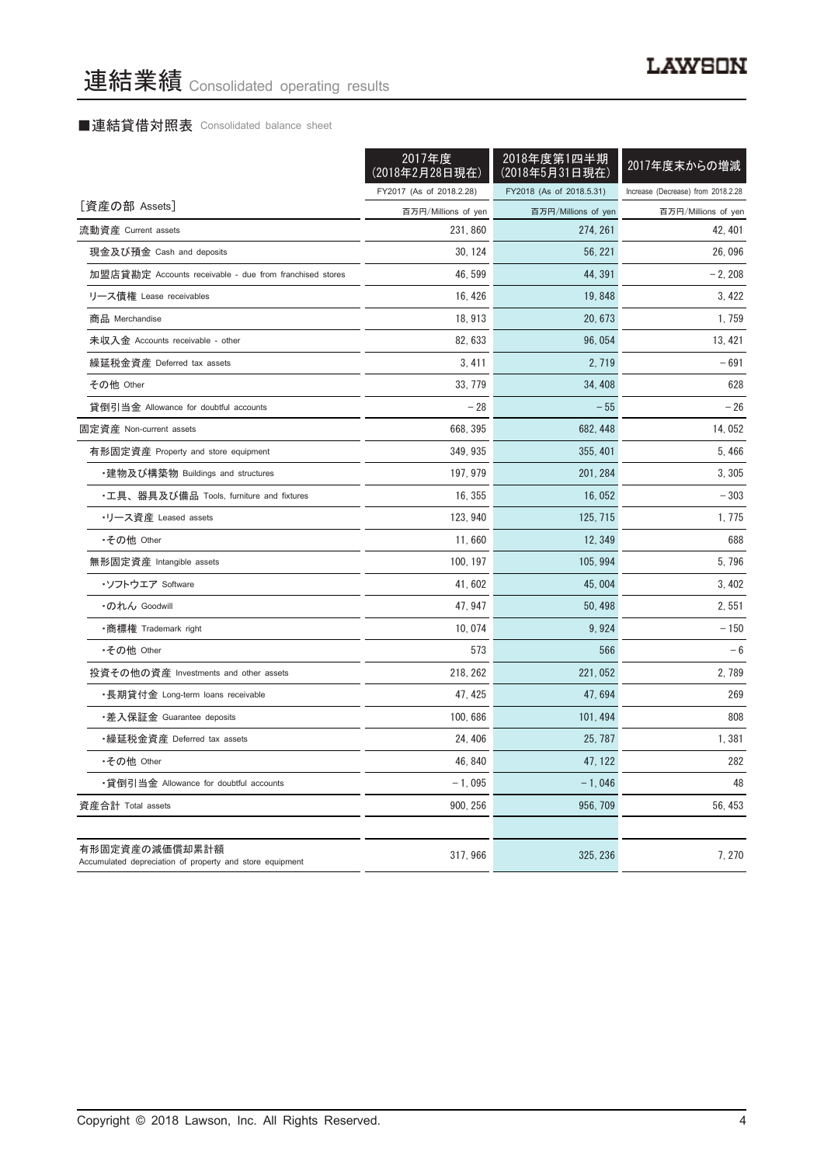# ■連結貸借対照表 Consolidated balance sheet

|                                                                            | 2017年度<br>(2018年2月28日現在) | 2018年度第1四半期<br>(2018年5月31日現在) | 2017年度末からの増減                       |
|----------------------------------------------------------------------------|--------------------------|-------------------------------|------------------------------------|
|                                                                            | FY2017 (As of 2018.2.28) | FY2018 (As of 2018.5.31)      | Increase (Decrease) from 2018.2.28 |
| [資産の部 Assets]                                                              | 百万円/Millions of yen      | 百万円/Millions of yen           | 百万円/Millions of yen                |
| 流動資産 Current assets                                                        | 231,860                  | 274, 261                      | 42, 401                            |
| 現金及び預金 Cash and deposits                                                   | 30, 124                  | 56, 221                       | 26.096                             |
| 加盟店貸勘定 Accounts receivable - due from franchised stores                    | 46, 599                  | 44, 391                       | $-2,208$                           |
| リース債権 Lease receivables                                                    | 16, 426                  | 19, 848                       | 3, 422                             |
| 商品 Merchandise                                                             | 18, 913                  | 20, 673                       | 1,759                              |
| 未収入金 Accounts receivable - other                                           | 82, 633                  | 96,054                        | 13, 421                            |
| 繰延税金資産 Deferred tax assets                                                 | 3,411                    | 2, 719                        | $-691$                             |
| その他 Other                                                                  | 33, 779                  | 34, 408                       | 628                                |
| 貸倒引当金 Allowance for doubtful accounts                                      | $-28$                    | $-55$                         | $-26$                              |
| 固定資産 Non-current assets                                                    | 668, 395                 | 682, 448                      | 14, 052                            |
| 有形固定資産 Property and store equipment                                        | 349, 935                 | 355, 401                      | 5,466                              |
| ・建物及び構築物 Buildings and structures                                          | 197, 979                 | 201, 284                      | 3, 305                             |
| ・工具、器具及び備品 Tools, furniture and fixtures                                   | 16, 355                  | 16, 052                       | - 303                              |
| •リース資産 Leased assets                                                       | 123, 940                 | 125, 715                      | 1,775                              |
| •その他 Other                                                                 | 11,660                   | 12, 349                       | 688                                |
| 無形固定資産 Intangible assets                                                   | 100, 197                 | 105, 994                      | 5,796                              |
| ・ソフトウエア Software                                                           | 41,602                   | 45,004                        | 3, 402                             |
| ・のれん Goodwill                                                              | 47, 947                  | 50, 498                       | 2,551                              |
| ・商標権 Trademark right                                                       | 10,074                   | 9,924                         | $-150$                             |
| •その他 Other                                                                 | 573                      | 566                           | $-6$                               |
| 投資その他の資産 Investments and other assets                                      | 218, 262                 | 221, 052                      | 2,789                              |
| •長期貸付金 Long-term loans receivable                                          | 47, 425                  | 47, 694                       | 269                                |
| ・差入保証金 Guarantee deposits                                                  | 100, 686                 | 101, 494                      | 808                                |
| ・繰延税金資産 Deferred tax assets                                                | 24, 406                  | 25, 787                       | 1,381                              |
| •その他 Other                                                                 | 46, 840                  | 47, 122                       | 282                                |
| ・貸倒引当金 Allowance for doubtful accounts                                     | $-1,095$                 | $-1,046$                      | 48                                 |
| 資産合計 Total assets                                                          | 900, 256                 | 956, 709                      | 56, 453                            |
|                                                                            |                          |                               |                                    |
| 有形固定資産の減価償却累計額<br>Accumulated depreciation of property and store equipment | 317, 966                 | 325, 236                      | 7,270                              |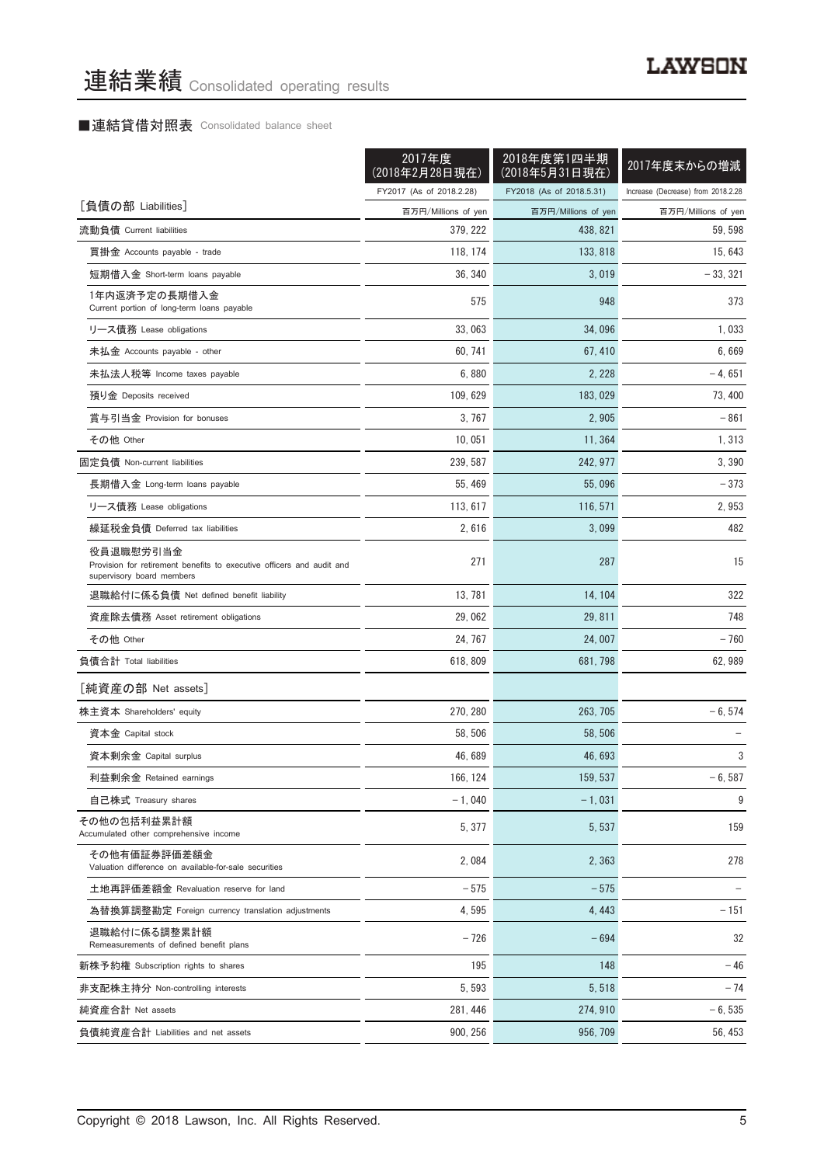## ■連結貸借対照表 Consolidated balance sheet

|                                                                                                                 | 2017年度<br>(2018年2月28日現在) | 2018年度第1四半期<br>(2018年5月31日現在) | 2017年度末からの増減                       |
|-----------------------------------------------------------------------------------------------------------------|--------------------------|-------------------------------|------------------------------------|
|                                                                                                                 | FY2017 (As of 2018.2.28) | FY2018 (As of 2018.5.31)      | Increase (Decrease) from 2018.2.28 |
| [負債の部 Liabilities]                                                                                              | 百万円/Millions of yen      | 百万円/Millions of yen           | 百万円/Millions of yen                |
| 流動負債 Current liabilities                                                                                        | 379, 222                 | 438, 821                      | 59, 598                            |
| 買掛金 Accounts payable - trade                                                                                    | 118, 174                 | 133, 818                      | 15, 643                            |
| 短期借入金 Short-term loans payable                                                                                  | 36, 340                  | 3,019                         | $-33, 321$                         |
| 1年内返済予定の長期借入金<br>Current portion of long-term loans payable                                                     | 575                      | 948                           | 373                                |
| リース債務 Lease obligations                                                                                         | 33,063                   | 34,096                        | 1,033                              |
| 未払金 Accounts payable - other                                                                                    | 60, 741                  | 67, 410                       | 6,669                              |
| 未払法人税等 Income taxes payable                                                                                     | 6,880                    | 2, 228                        | $-4,651$                           |
| 預り金 Deposits received                                                                                           | 109, 629                 | 183, 029                      | 73, 400                            |
| 賞与引当金 Provision for bonuses                                                                                     | 3.767                    | 2.905                         | $-861$                             |
| その他 Other                                                                                                       | 10, 051                  | 11,364                        | 1,313                              |
| 固定負債 Non-current liabilities                                                                                    | 239, 587                 | 242, 977                      | 3,390                              |
| 長期借入金 Long-term loans payable                                                                                   | 55, 469                  | 55,096                        | $-373$                             |
| リース債務 Lease obligations                                                                                         | 113, 617                 | 116, 571                      | 2,953                              |
| 繰延税金負債 Deferred tax liabilities                                                                                 | 2,616                    | 3,099                         | 482                                |
| 役員退職慰労引当金<br>Provision for retirement benefits to executive officers and audit and<br>supervisory board members | 271                      | 287                           | 15                                 |
| 退職給付に係る負債 Net defined benefit liability                                                                         | 13, 781                  | 14, 104                       | 322                                |
| 資産除去債務 Asset retirement obligations                                                                             | 29,062                   | 29, 811                       | 748                                |
| その他 Other                                                                                                       | 24, 767                  | 24,007                        | - 760                              |
| 負債合計 Total liabilities                                                                                          | 618, 809                 | 681, 798                      | 62, 989                            |
| [純資産の部 Net assets]                                                                                              |                          |                               |                                    |
| 株主資本 Shareholders' equity                                                                                       | 270, 280                 | 263, 705                      | $-6, 574$                          |
| 資本金 Capital stock                                                                                               | 58, 506                  | 58.506                        |                                    |
| 資本剰余金 Capital surplus                                                                                           | 46, 689                  | 46, 693                       | 3                                  |
| 利益剰余金 Retained earnings                                                                                         | 166, 124                 | 159, 537                      | $-6,587$                           |
| 自己株式 Treasury shares                                                                                            | $-1,040$                 | $-1,031$                      | 9                                  |
| その他の包括利益累計額<br>Accumulated other comprehensive income                                                           | 5, 377                   | 5,537                         | 159                                |
| その他有価証券評価差額金<br>Valuation difference on available-for-sale securities                                           | 2,084                    | 2,363                         | 278                                |
| 土地再評価差額金 Revaluation reserve for land                                                                           | $-575$                   | $-575$                        |                                    |
| 為替換算調整勘定 Foreign currency translation adjustments                                                               | 4,595                    | 4, 443                        | $-151$                             |
| 退職給付に係る調整累計額<br>Remeasurements of defined benefit plans                                                         | $-726$                   | $-694$                        | 32                                 |
| 新株予約権 Subscription rights to shares                                                                             | 195                      | 148                           | $-46$                              |
| 非支配株主持分 Non-controlling interests                                                                               | 5, 593                   | 5, 518                        | $-74$                              |
| 純資産合計 Net assets                                                                                                | 281, 446                 | 274, 910                      | $-6, 535$                          |
| 負債純資産合計 Liabilities and net assets                                                                              | 900, 256                 | 956, 709                      | 56, 453                            |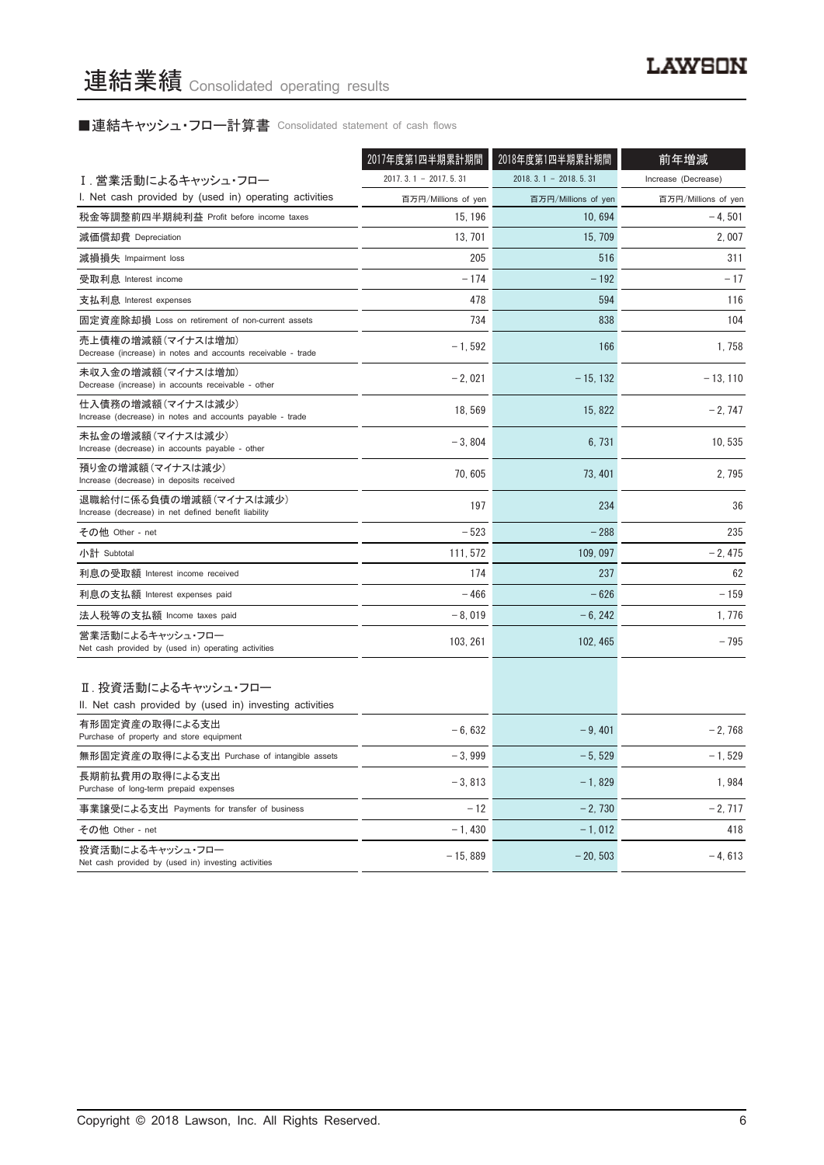# ■連結キャッシュ・フロー計算書 Consolidated statement of cash flows

|                                                                                   | 2017年度第1四半期累計期間        | 2018年度第1四半期累計期間        | 前年増減                |
|-----------------------------------------------------------------------------------|------------------------|------------------------|---------------------|
| Ⅰ. 営業活動によるキャッシュ・フロー                                                               | $2017.3.1 - 2017.5.31$ | $2018.3.1 - 2018.5.31$ | Increase (Decrease) |
| I. Net cash provided by (used in) operating activities                            | 百万円/Millions of yen    | 百万円/Millions of yen    | 百万円/Millions of yen |
| 税金等調整前四半期純利益 Profit before income taxes                                           | 15, 196                | 10,694                 | $-4, 501$           |
| 減価償却費 Depreciation                                                                | 13, 701                | 15, 709                | 2,007               |
| 減損損失 Impairment loss                                                              | 205                    | 516                    | 311                 |
| 受取利息 Interest income                                                              | $-174$                 | $-192$                 | $-17$               |
| 支払利息 Interest expenses                                                            | 478                    | 594                    | 116                 |
| 固定資産除却損 Loss on retirement of non-current assets                                  | 734                    | 838                    | 104                 |
| 売上債権の増減額(マイナスは増加)<br>Decrease (increase) in notes and accounts receivable - trade | $-1.592$               | 166                    | 1.758               |
| 未収入金の増減額(マイナスは増加)<br>Decrease (increase) in accounts receivable - other           | $-2,021$               | $-15, 132$             | $-13, 110$          |
| 仕入債務の増減額(マイナスは減少)<br>Increase (decrease) in notes and accounts payable - trade    | 18,569                 | 15, 822                | $-2,747$            |
| 未払金の増減額(マイナスは減少)<br>Increase (decrease) in accounts payable - other               | $-3.804$               | 6.731                  | 10.535              |
| 預り金の増減額(マイナスは減少)<br>Increase (decrease) in deposits received                      | 70,605                 | 73, 401                | 2,795               |
| 退職給付に係る負債の増減額(マイナスは減少)<br>Increase (decrease) in net defined benefit liability    | 197                    | 234                    | 36                  |
| その他 Other - net                                                                   | $-523$                 | $-288$                 | 235                 |
| 小計 Subtotal                                                                       | 111, 572               | 109, 097               | $-2,475$            |
| 利息の受取額 Interest income received                                                   | 174                    | 237                    | 62                  |
| 利息の支払額 Interest expenses paid                                                     | $-466$                 | $-626$                 | $-159$              |
| 法人税等の支払額 Income taxes paid                                                        | $-8.019$               | $-6, 242$              | 1.776               |
| 営業活動によるキャッシュ・フロー<br>Net cash provided by (used in) operating activities           | 103, 261               | 102, 465               | $-795$              |
| Ⅱ. 投資活動によるキャッシュ・フロー<br>II. Net cash provided by (used in) investing activities    |                        |                        |                     |
| 有形固定資産の取得による支出<br>Purchase of property and store equipment                        | $-6.632$               | $-9,401$               | $-2,768$            |
| 無形固定資産の取得による支出 Purchase of intangible assets                                      | $-3.999$               | $-5,529$               | $-1,529$            |
| 長期前払費用の取得による支出<br>Purchase of long-term prepaid expenses                          | $-3,813$               | $-1,829$               | 1,984               |
| 事業譲受による支出 Payments for transfer of business                                       | $-12$                  | $-2.730$               | $-2.717$            |
| その他 Other - net                                                                   | $-1,430$               | $-1,012$               | 418                 |
| 投資活動によるキャッシュ・フロー<br>Net cash provided by (used in) investing activities           | $-15,889$              | $-20, 503$             | $-4,613$            |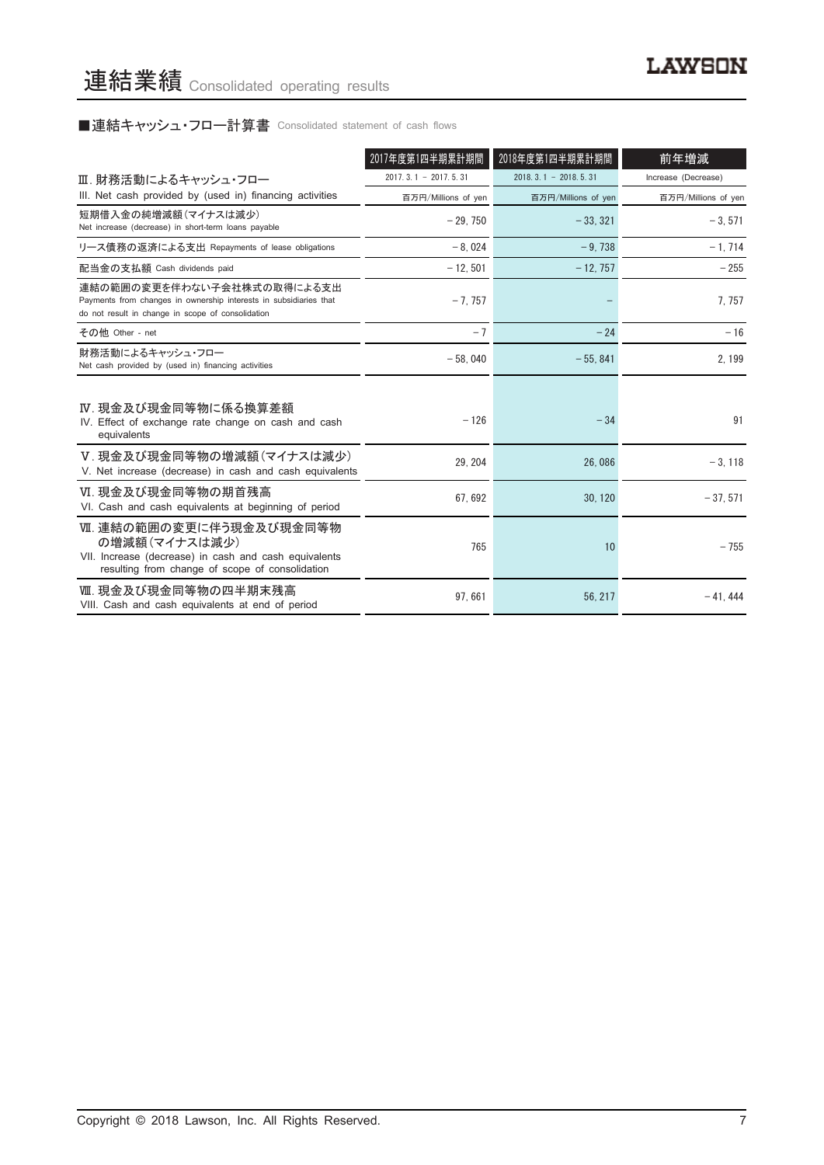# ■連結キャッシュ・フロー計算書 Consolidated statement of cash flows

|                                                                                                                                                      | 2017年度第1四半期累計期間        | 2018年度第1四半期累計期間            | 前年増減                |
|------------------------------------------------------------------------------------------------------------------------------------------------------|------------------------|----------------------------|---------------------|
| Ⅲ. 財務活動によるキャッシュ・フロー                                                                                                                                  | $2017.3.1 - 2017.5.31$ | $2018, 3, 1 - 2018, 5, 31$ | Increase (Decrease) |
| III. Net cash provided by (used in) financing activities                                                                                             | 百万円/Millions of yen    | 百万円/Millions of yen        | 百万円/Millions of yen |
| 短期借入金の純増減額 (マイナスは減少)<br>Net increase (decrease) in short-term loans payable                                                                          | $-29.750$              | $-33.321$                  | $-3,571$            |
| リース債務の返済による支出 Repayments of lease obligations                                                                                                        | $-8.024$               | $-9.738$                   | $-1,714$            |
| 配当金の支払額 Cash dividends paid                                                                                                                          | $-12, 501$             | $-12, 757$                 | $-255$              |
| 連結の範囲の変更を伴わない子会社株式の取得による支出<br>Payments from changes in ownership interests in subsidiaries that<br>do not result in change in scope of consolidation | $-7.757$               |                            | 7, 757              |
| その他 Other - net                                                                                                                                      | $-7$                   | $-24$                      | $-16$               |
| 財務活動によるキャッシュ・フロー<br>Net cash provided by (used in) financing activities                                                                              | $-58,040$              | $-55,841$                  | 2, 199              |
| Ⅳ. 現金及び現金同等物に係る換算差額<br>IV. Effect of exchange rate change on cash and cash<br>equivalents                                                            | $-126$                 | $-34$                      | 91                  |
| V. 現金及び現金同等物の増減額(マイナスは減少)<br>V. Net increase (decrease) in cash and cash equivalents                                                                 | 29.204                 | 26.086                     | $-3, 118$           |
| VI. 現金及び現金同等物の期首残高<br>VI. Cash and cash equivalents at beginning of period                                                                           | 67, 692                | 30, 120                    | $-37,571$           |
| Ⅶ. 連結の範囲の変更に伴う現金及び現金同等物<br>の増減額(マイナスは減少)<br>VII. Increase (decrease) in cash and cash equivalents<br>resulting from change of scope of consolidation | 765                    | 10                         | $-755$              |
| Ⅷ. 現金及び現金同等物の四半期末残高<br>VIII. Cash and cash equivalents at end of period                                                                              | 97,661                 | 56, 217                    | $-41.444$           |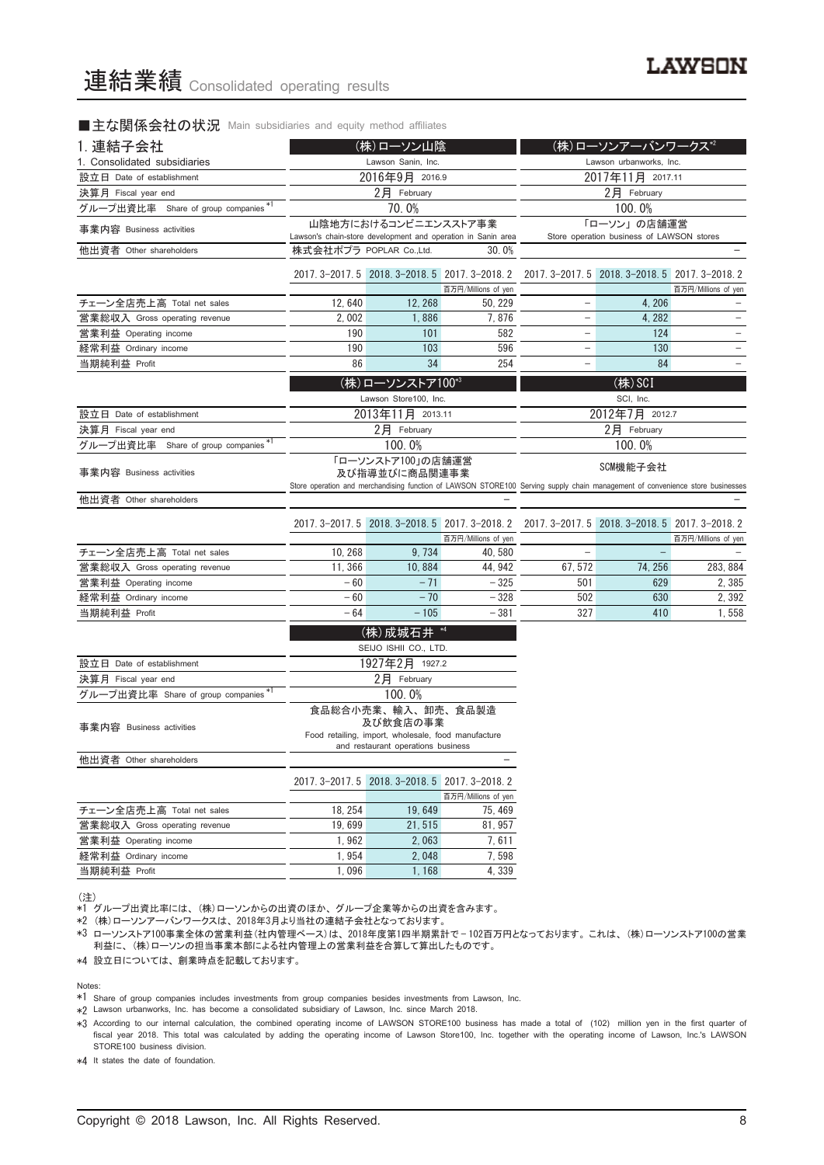#### ■主な関係会社の状況 Main subsidiaries and equity method affiliates

| 1. 連結子会社                             | (株)ローソン山陰                                                                                                                                      |                                                                                           |                                                              | (株)ローソンアーバンワークス*2        |                                                          |                     |
|--------------------------------------|------------------------------------------------------------------------------------------------------------------------------------------------|-------------------------------------------------------------------------------------------|--------------------------------------------------------------|--------------------------|----------------------------------------------------------|---------------------|
| 1. Consolidated subsidiaries         | Lawson Sanin, Inc.                                                                                                                             |                                                                                           |                                                              |                          | Lawson urbanworks, Inc.                                  |                     |
| 設立日 Date of establishment            | 2016年9月 2016.9                                                                                                                                 |                                                                                           |                                                              |                          | 2017年11月 2017.11                                         |                     |
| 決算月 Fiscal year end                  |                                                                                                                                                | 2月 February                                                                               |                                                              | 2月 February              |                                                          |                     |
| グループ出資比率 Share of group companies *1 |                                                                                                                                                | 70.0%                                                                                     |                                                              |                          | 100.0%                                                   |                     |
| 事業内容 Business activities             |                                                                                                                                                | 山陰地方におけるコンビニエンスストア事業                                                                      | Lawson's chain-store development and operation in Sanin area |                          | 「ローソン」の店舗運営<br>Store operation business of LAWSON stores |                     |
| 他出資者 Other shareholders              | 株式会社ポプラ POPLAR Co.,Ltd.                                                                                                                        |                                                                                           | 30.0%                                                        |                          |                                                          |                     |
|                                      |                                                                                                                                                | 2017. 3-2017. 5 2018. 3-2018. 5 2017. 3-2018. 2                                           | 百万円/Millions of yen                                          |                          | 2017. 3-2017. 5 2018. 3-2018. 5 2017. 3-2018. 2          | 百万円/Millions of yen |
| チェーン全店売上高 Total net sales            | 12,640                                                                                                                                         | 12, 268                                                                                   | 50, 229                                                      | -                        | 4, 206                                                   |                     |
| 営業総収入 Gross operating revenue        | 2.002                                                                                                                                          | 1,886                                                                                     | 7,876                                                        | $\qquad \qquad -$        | 4, 282                                                   |                     |
| 営業利益 Operating income                | 190                                                                                                                                            | 101                                                                                       | 582                                                          | -                        | 124                                                      | $\qquad \qquad -$   |
| 経常利益 Ordinary income                 | 190                                                                                                                                            | 103                                                                                       | 596                                                          | $\overline{\phantom{0}}$ | 130                                                      | $\qquad \qquad -$   |
| 当期純利益 Profit                         | 86                                                                                                                                             | 34                                                                                        | 254                                                          | $\overline{\phantom{0}}$ | 84                                                       |                     |
|                                      |                                                                                                                                                | (株)ローソンストア100*3                                                                           |                                                              | (株) SCI                  |                                                          |                     |
|                                      |                                                                                                                                                | Lawson Store100, Inc.                                                                     |                                                              |                          | SCI, Inc.                                                |                     |
| 設立日 Date of establishment            |                                                                                                                                                | 2013年11月 2013.11                                                                          |                                                              |                          | 2012年7月 2012.7                                           |                     |
| 決算月 Fiscal year end                  |                                                                                                                                                | $2$ 月 February                                                                            |                                                              |                          | 2月 February                                              |                     |
| グループ出資比率 Share of group companies *1 |                                                                                                                                                | 100.0%                                                                                    |                                                              |                          | 100.0%                                                   |                     |
|                                      |                                                                                                                                                | 「ローソンストア100」の店舗運営                                                                         |                                                              |                          |                                                          |                     |
| 事業内容 Business activities             | 及び指導並びに商品関連事業<br>Store operation and merchandising function of LAWSON STORE100 Serving supply chain management of convenience store businesses |                                                                                           |                                                              | SCM機能子会社                 |                                                          |                     |
| 他出資者 Other shareholders              |                                                                                                                                                |                                                                                           |                                                              |                          |                                                          |                     |
|                                      |                                                                                                                                                |                                                                                           | 2017. 3-2017. 5 2018. 3-2018. 5 2017. 3-2018. 2              |                          | 2017. 3-2017. 5 2018. 3-2018. 5 2017. 3-2018. 2          |                     |
| チェーン全店売上高 Total net sales            | 10, 268                                                                                                                                        | 9,734                                                                                     | 百万円/Millions of yen<br>40.580                                | $\qquad \qquad -$        |                                                          | 百万円/Millions of yen |
| 営業総収入 Gross operating revenue        | 11, 366                                                                                                                                        | 10,884                                                                                    | 44, 942                                                      | 67, 572                  | 74, 256                                                  | 283, 884            |
| 営業利益 Operating income                | $-60$                                                                                                                                          | $-71$                                                                                     | $-325$                                                       | 501                      | 629                                                      | 2,385               |
| 経常利益 Ordinary income                 | $-60$                                                                                                                                          | $-70$                                                                                     | $-328$                                                       | 502                      | 630                                                      | 2, 392              |
| 当期純利益 Profit                         | $-64$                                                                                                                                          | $-105$                                                                                    | $-381$                                                       | 327                      | 410                                                      | 1,558               |
|                                      |                                                                                                                                                | (株)成城石井 *4                                                                                |                                                              |                          |                                                          |                     |
|                                      |                                                                                                                                                | SEIJO ISHII CO., LTD.                                                                     |                                                              |                          |                                                          |                     |
| 設立日 Date of establishment            |                                                                                                                                                | 1927年2月 1927.2                                                                            |                                                              |                          |                                                          |                     |
| 決算月 Fiscal year end                  |                                                                                                                                                | $2$ 月 February                                                                            |                                                              |                          |                                                          |                     |
| グループ出資比率 Share of group companies*1  |                                                                                                                                                | 100.0%                                                                                    |                                                              |                          |                                                          |                     |
|                                      |                                                                                                                                                | 食品総合小売業、輸入、卸売、食品製造<br>及び飲食店の事業                                                            |                                                              |                          |                                                          |                     |
| 事業内容 Business activities             |                                                                                                                                                | Food retailing, import, wholesale, food manufacture<br>and restaurant operations business |                                                              |                          |                                                          |                     |
| 他出資者 Other shareholders              |                                                                                                                                                |                                                                                           |                                                              |                          |                                                          |                     |
|                                      |                                                                                                                                                | 2017. 3-2017. 5 2018. 3-2018. 5 2017. 3-2018. 2                                           |                                                              |                          |                                                          |                     |
| チェーン全店売上高 Total net sales            | 18, 254                                                                                                                                        | 19,649                                                                                    | 百万円/Millions of yen<br>75, 469                               |                          |                                                          |                     |
| 営業総収入 Gross operating revenue        | 19,699                                                                                                                                         | 21, 515                                                                                   | 81, 957                                                      |                          |                                                          |                     |
| 営業利益 Operating income                | 1,962                                                                                                                                          | 2,063                                                                                     | 7, 611                                                       |                          |                                                          |                     |
| 経常利益 Ordinary income                 | 1,954                                                                                                                                          | 2,048                                                                                     | 7,598                                                        |                          |                                                          |                     |
| 当期純利益 Profit                         | 1,096                                                                                                                                          | 1,168                                                                                     | 4,339                                                        |                          |                                                          |                     |
|                                      |                                                                                                                                                |                                                                                           |                                                              |                          |                                                          |                     |

(注)

、......<br>\*1 グループ出資比率には、(株)ローソンからの出資のほか、グループ企業等からの出資を含みます。

\*2 (株)ローソンアーバンワークスは、2018年3月より当社の連結子会社となっております。

\*3 ローソンストア100事業全体の営業利益(社内管理ベース)は、2018年度第1四半期累計で — 102百万円となっております。これは、(株)ローソンストア100の営業 利益に、(株)ローソンの担当事業本部による社内管理上の営業利益を合算して算出したものです。

\*4 設立日については、創業時点を記載しております。

Notes:

\*1 Share of group companies includes investments from group companies besides investments from Lawson, Inc.

\*2 Lawson urbanworks, Inc. has become a consolidated subsidiary of Lawson, Inc. since March 2018.

\*3 According to our internal calculation, the combined operating income of LAWSON STORE100 business has made a total of (102) million yen in the first quarter of fiscal year 2018. This total was calculated by adding the operating income of Lawson Store100, Inc. together with the operating income of Lawson, Inc.'s LAWSON STORE100 business division.

\*4 It states the date of foundation.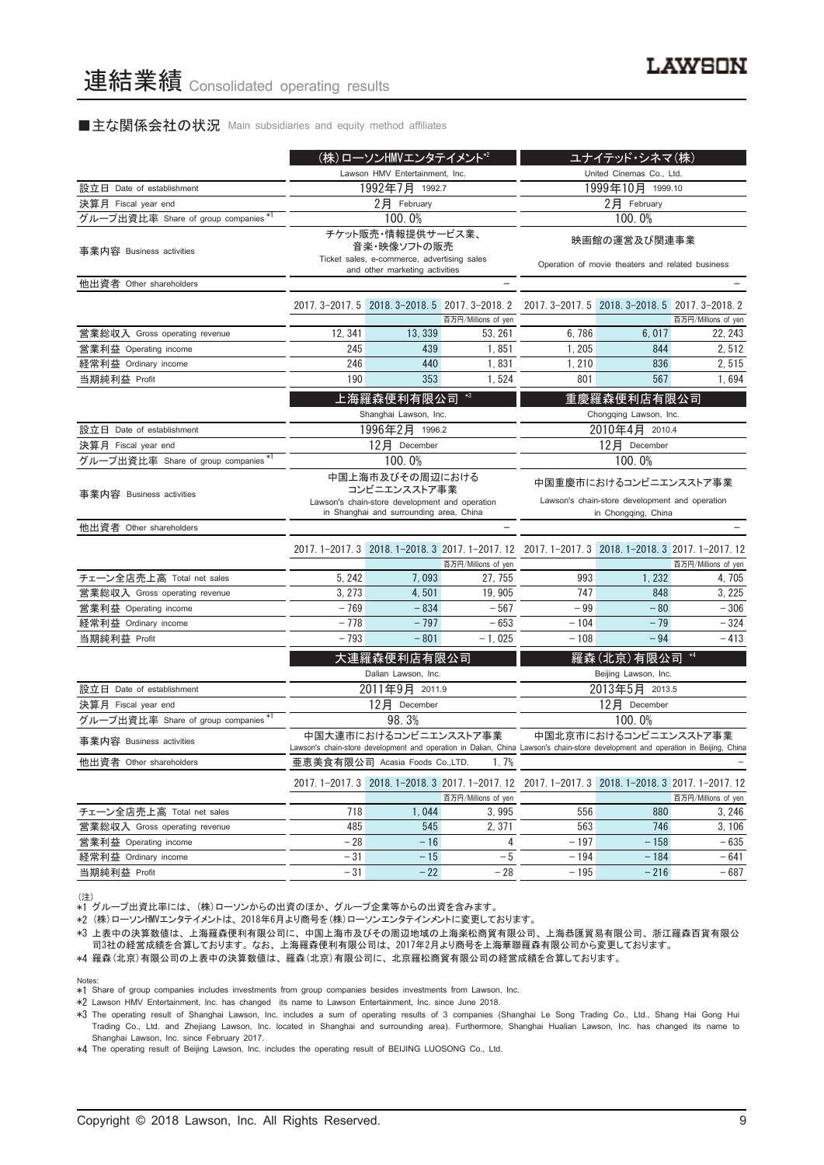#### ■主な関係会社の状況 Main subsidiaries and equity method affiliates

|                                      |                                                                                                                              | (株)ローソンHMVエンタテイメント*2                                                                                              |                     |                                                                                                                                  | ユナイテッド・シネマ(株)                                                                                  |                     |
|--------------------------------------|------------------------------------------------------------------------------------------------------------------------------|-------------------------------------------------------------------------------------------------------------------|---------------------|----------------------------------------------------------------------------------------------------------------------------------|------------------------------------------------------------------------------------------------|---------------------|
|                                      | Lawson HMV Entertainment, Inc.                                                                                               |                                                                                                                   |                     |                                                                                                                                  | United Cinemas Co., Ltd.                                                                       |                     |
| 設立日 Date of establishment            | 1992年7月 1992.7                                                                                                               |                                                                                                                   |                     |                                                                                                                                  | 1999年10月 1999.10                                                                               |                     |
| 決算月 Fiscal year end                  |                                                                                                                              | 2月 February                                                                                                       |                     |                                                                                                                                  | $2$ 月 February                                                                                 |                     |
| グループ出資比率 Share of group companies *1 |                                                                                                                              | 100.0%                                                                                                            |                     |                                                                                                                                  | 100.0%                                                                                         |                     |
| 事業内容 Business activities             |                                                                                                                              | チケット販売・情報提供サービス業、<br>音楽・映像ソフトの販売<br>Ticket sales, e-commerce, advertising sales<br>and other marketing activities |                     |                                                                                                                                  | 映画館の運営及び関連事業<br>Operation of movie theaters and related business                               |                     |
| 他出資者 Other shareholders              |                                                                                                                              |                                                                                                                   |                     |                                                                                                                                  |                                                                                                |                     |
|                                      |                                                                                                                              | 2017. 3-2017. 5 2018. 3-2018. 5 2017. 3-2018. 2                                                                   | 百万円/Millions of yen |                                                                                                                                  | 2017. 3-2017. 5 2018. 3-2018. 5 2017. 3-2018. 2                                                | 百万円/Millions of yen |
| 営業総収入 Gross operating revenue        | 12, 341                                                                                                                      | 13, 339                                                                                                           | 53, 261             | 6,786                                                                                                                            | 6,017                                                                                          | 22.243              |
| 営業利益 Operating income                | 245                                                                                                                          | 439                                                                                                               | 1,851               | 1, 205                                                                                                                           | 844                                                                                            | 2,512               |
| 経常利益 Ordinary income                 | 246                                                                                                                          | 440                                                                                                               | 1,831               | 1,210                                                                                                                            | 836                                                                                            | 2,515               |
| 当期純利益 Profit                         | 190                                                                                                                          | 353                                                                                                               | 1,524               | 801                                                                                                                              | 567                                                                                            | 1,694               |
|                                      |                                                                                                                              | 上海羅森便利有限公司<br>Shanghai Lawson, Inc.                                                                               | $*3$                |                                                                                                                                  | 重慶羅森便利店有限公司<br>Chongqing Lawson, Inc.                                                          |                     |
| 設立日 Date of establishment            |                                                                                                                              | 1996年2月 1996.2                                                                                                    |                     |                                                                                                                                  | 2010年4月 2010.4                                                                                 |                     |
| 決算月 Fiscal year end                  |                                                                                                                              | 12月 December                                                                                                      |                     | 12月 December                                                                                                                     |                                                                                                |                     |
| グループ出資比率 Share of group companies*1  |                                                                                                                              | 100.0%                                                                                                            |                     |                                                                                                                                  | 100.0%                                                                                         |                     |
| 事業内容 Business activities             | 中国上海市及びその周辺における<br>コンビニエンスストア事業<br>Lawson's chain-store development and operation<br>in Shanghai and surrounding area, China |                                                                                                                   |                     |                                                                                                                                  | 中国重慶市におけるコンビニエンスストア事業<br>Lawson's chain-store development and operation<br>in Chongqing, China |                     |
| 他出資者 Other shareholders              |                                                                                                                              |                                                                                                                   |                     |                                                                                                                                  |                                                                                                |                     |
|                                      |                                                                                                                              |                                                                                                                   | 百万円/Millions of yen | 2017.1-2017.3 2018.1-2018.3 2017.1-2017.12 2017.1-2017.3 2018.1-2018.3 2017.1-2017.12                                            |                                                                                                | 百万円/Millions of yen |
| チェーン全店売上高 Total net sales            | 5, 242                                                                                                                       | 7,093                                                                                                             | 27, 755             | 993                                                                                                                              | 1,232                                                                                          | 4, 705              |
| 営業総収入 Gross operating revenue        | 3, 273                                                                                                                       | 4,501                                                                                                             | 19, 905             | 747                                                                                                                              | 848                                                                                            | 3, 225              |
| 営業利益 Operating income                | $-769$                                                                                                                       | $-834$                                                                                                            | $-567$              | $-99$                                                                                                                            | $-80$                                                                                          | $-306$              |
| 経常利益 Ordinary income                 | $-778$                                                                                                                       | $-797$                                                                                                            | $-653$              | $-104$                                                                                                                           | $-79$                                                                                          | $-324$              |
| 当期純利益 Profit                         | $-793$                                                                                                                       | $-801$                                                                                                            | $-1,025$            | $-108$                                                                                                                           | $-94$                                                                                          | $-413$              |
|                                      |                                                                                                                              | 大連羅森便利店有限公司                                                                                                       |                     |                                                                                                                                  | 羅森(北京)有限公司                                                                                     |                     |
| 設立日 Date of establishment            |                                                                                                                              | Dalian Lawson, Inc.<br>2011年9月 2011.9                                                                             |                     |                                                                                                                                  | Beijing Lawson, Inc.<br>2013年5月 2013.5                                                         |                     |
| 決算月 Fiscal year end                  |                                                                                                                              | 12月 December                                                                                                      |                     |                                                                                                                                  | 12月 December                                                                                   |                     |
| グループ出資比率 Share of group companies *1 |                                                                                                                              | 98.3%                                                                                                             |                     |                                                                                                                                  | 100.0%                                                                                         |                     |
| 事業内容 Business activities             |                                                                                                                              | 中国大連市におけるコンビニエンスストア事業                                                                                             |                     | Lawson's chain-store development and operation in Dalian, China Lawson's chain-store development and operation in Beijing, China | 中国北京市におけるコンビニエンスストア事業                                                                          |                     |
| 他出資者 Other shareholders              |                                                                                                                              | 亜恵美食有限公司 Acasia Foods Co.,LTD.                                                                                    | 1.7%                |                                                                                                                                  |                                                                                                |                     |
|                                      |                                                                                                                              |                                                                                                                   | 百万円/Millions of yen | 2017.1-2017.3 2018.1-2018.3 2017.1-2017.12 2017.1-2017.3 2018.1-2018.3 2017.1-2017.12                                            |                                                                                                | 百万円/Millions of yen |
| チェーン全店売上高 Total net sales            | 718                                                                                                                          | 1,044                                                                                                             | 3,995               | 556                                                                                                                              | 880                                                                                            | 3,246               |
| 営業総収入 Gross operating revenue        | 485                                                                                                                          | 545                                                                                                               | 2,371               | 563                                                                                                                              | 746                                                                                            | 3, 106              |
| 営業利益 Operating income                | $-28$                                                                                                                        | $-16$                                                                                                             | 4                   | $-197$                                                                                                                           | $-158$                                                                                         | $-635$              |
| 経常利益 Ordinary income                 | $-31$                                                                                                                        | $-15$                                                                                                             | $-5$                | $-194$                                                                                                                           | $-184$                                                                                         | $-641$              |
| 当期純利益 Profit                         | $-31$                                                                                                                        | $-22$                                                                                                             | $-28$               | $-195$                                                                                                                           | $-216$                                                                                         | $-687$              |

(注)

、....<br>\*1 グループ出資比率には、(株)ローソンからの出資のほか、グループ企業等からの出資を含みます。

\*2 (株)ローソンHMVエンタテイメントは、2018年6月より商号を(株)ローソンエンタテインメントに変更しております。

- - - . . . .<br>∗3 上表中の決算数値は、上海羅森便利有限公司に、中国上海市及びその周辺地域の上海楽松商貿有限公司、上海恭匯貿易有限公司、浙江羅森百貨有限公 司3社の経営成績を合算しております。なお、上海羅森便利有限公司は、2017年2月より商号を上海華聯羅森有限公司から変更しております。

\*4 羅森(北京)有限公司の上表中の決算数値は、羅森(北京)有限公司に、北京羅松商貿有限公司の経営成績を合算しております。

Notes:

\*1 Share of group companies includes investments from group companies besides investments from Lawson, Inc.

\*2 Lawson HMV Entertainment, Inc. has changed its name to Lawson Entertainment, Inc. since June 2018.

\*3 The operating result of Shanghai Lawson, Inc. includes a sum of operating results of 3 companies (Shanghai Le Song Trading Co., Ltd., Shang Hai Gong Hui Trading Co., Ltd. and Zhejiang Lawson, Inc. located in Shanghai and surrounding area). Furthermore, Shanghai Hualian Lawson, Inc. has changed its name to Shanghai Lawson, Inc. since February 2017.

\*4 The operating result of Beijing Lawson, Inc. includes the operating result of BEIJING LUOSONG Co., Ltd.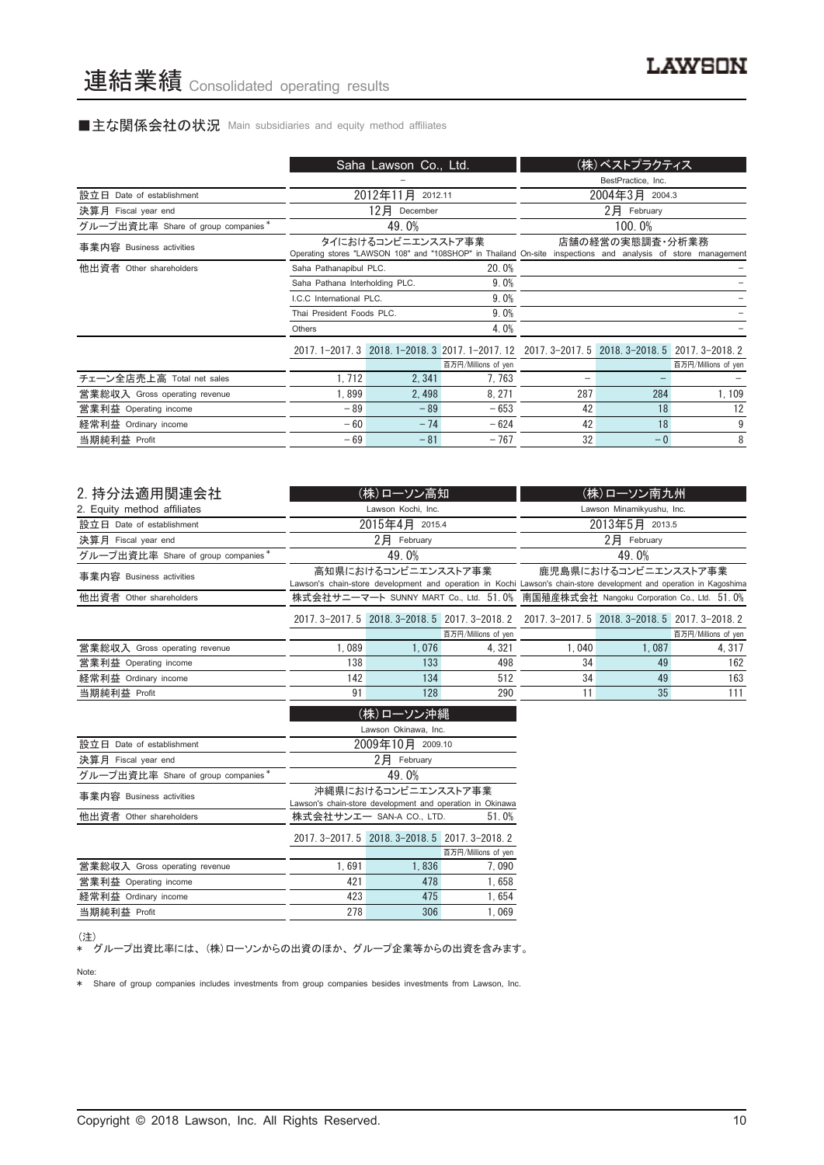#### ■主な関係会社の状況 Main subsidiaries and equity method affiliates

|                                    |                                | Saha Lawson Co., Ltd. |                                                                                                              |     | (株)ベストプラクティス       |                     |
|------------------------------------|--------------------------------|-----------------------|--------------------------------------------------------------------------------------------------------------|-----|--------------------|---------------------|
|                                    |                                |                       |                                                                                                              |     | BestPractice, Inc. |                     |
| 設立日 Date of establishment          |                                | 2012年11月<br>2012.11   |                                                                                                              |     | 2004年3月 2004.3     |                     |
| 決算月 Fiscal year end                |                                | 12月<br>December       |                                                                                                              |     | 2月 February        |                     |
| グループ出資比率 Share of group companies* |                                | 49.0%                 |                                                                                                              |     | 100.0%             |                     |
| 事業内容 Business activities           |                                | タイにおけるコンビニエンスストア事業    | Operating stores "LAWSON 108" and "108SHOP" in Thailand On-site inspections and analysis of store management |     | 店舗の経営の実熊調査・分析業務    |                     |
| 他出資者 Other shareholders            | Saha Pathanapibul PLC.         |                       | 20.0%                                                                                                        |     |                    |                     |
|                                    | Saha Pathana Interholding PLC. |                       | 9.0%                                                                                                         |     |                    |                     |
|                                    | LC.C. International PLC.       |                       | 9.0%                                                                                                         |     |                    |                     |
|                                    | Thai President Foods PLC.      |                       | 9.0%                                                                                                         |     |                    |                     |
|                                    | Others                         |                       | 4.0%                                                                                                         |     |                    |                     |
|                                    |                                |                       | 2017.1-2017.3 2018.1-2018.3 2017.1-2017.12 2017.3-2017.5 2018.3-2018.5 2017.3-2018.2                         |     |                    |                     |
|                                    |                                |                       | 百万円/Millions of yen                                                                                          |     |                    | 百万円/Millions of yen |
| チェーン全店売上高 Total net sales          | 1, 712                         | 2, 341                | 7,763                                                                                                        |     |                    |                     |
| 営業総収入 Gross operating revenue      | 1,899                          | 2,498                 | 8, 271                                                                                                       | 287 | 284                | 1,109               |
| 営業利益 Operating income              | $-89$                          | $-89$                 | $-653$                                                                                                       | 42  | 18                 | 12                  |
| 経常利益 Ordinary income               | $-60$                          | $-74$                 | $-624$                                                                                                       | 42  | 18                 | 9                   |
| 当期純利益 Profit                       | $-69$                          | $-81$                 | $-767$                                                                                                       | 32  | $-0$               | 8                   |

| 2. 持分法適用関連会社                       |       | (株)ローソン高知                |                                                           |                                                                                                                     | (株)ローソン南九州                                      |                     |
|------------------------------------|-------|--------------------------|-----------------------------------------------------------|---------------------------------------------------------------------------------------------------------------------|-------------------------------------------------|---------------------|
| 2. Equity method affiliates        |       | Lawson Kochi, Inc.       |                                                           |                                                                                                                     | Lawson Minamikyushu, Inc.                       |                     |
| 設立日 Date of establishment          |       | 2015年4月 2015.4           |                                                           |                                                                                                                     | 2013年5月 2013.5                                  |                     |
| 決算月 Fiscal year end                |       | $2$ 月 February           |                                                           |                                                                                                                     | $2$ $\mathbf{F}$ February                       |                     |
| グループ出資比率 Share of group companies* |       | 49.0%                    |                                                           |                                                                                                                     | 49.0%                                           |                     |
| 事業内容 Business activities           |       | 高知県におけるコンビニエンスストア事業      |                                                           | Lawson's chain-store development and operation in Kochi Lawson's chain-store development and operation in Kagoshima | 鹿児島県におけるコンビニエンスストア事業                            |                     |
| 他出資者 Other shareholders            |       |                          |                                                           | 株式会社サニーマート SUNNY MART Co., Ltd. 51.0% 南国殖産株式会社 Nangoku Corporation Co., Ltd. 51.0%                                  |                                                 |                     |
|                                    |       |                          | 2017. 3-2017. 5 2018. 3-2018. 5 2017. 3-2018. 2           |                                                                                                                     | 2017. 3-2017. 5 2018. 3-2018. 5 2017. 3-2018. 2 |                     |
|                                    |       |                          | 百万円/Millions of yen                                       |                                                                                                                     |                                                 | 百万円/Millions of yen |
| 営業総収入 Gross operating revenue      | 1.089 | 1,076                    | 4,321                                                     | 1,040                                                                                                               | 1,087                                           | 4, 317              |
| 営業利益 Operating income              | 138   | 133                      | 498                                                       | 34                                                                                                                  | 49                                              | 162                 |
| 経常利益 Ordinary income               | 142   | 134                      | 512                                                       | 34                                                                                                                  | 49                                              | 163                 |
| 当期純利益 Profit                       | 91    | 128                      | 290                                                       | 11                                                                                                                  | 35                                              | 111                 |
|                                    |       | (株)ローソン沖縄                |                                                           |                                                                                                                     |                                                 |                     |
|                                    |       | Lawson Okinawa, Inc.     |                                                           |                                                                                                                     |                                                 |                     |
| 設立日 Date of establishment          |       | 2009年10月 2009.10         |                                                           |                                                                                                                     |                                                 |                     |
| 決算月 Fiscal year end                |       | $2$ 月 February           |                                                           |                                                                                                                     |                                                 |                     |
| グループ出資比率 Share of group companies* |       | 49.0%                    |                                                           |                                                                                                                     |                                                 |                     |
| 事業内容 Business activities           |       | 沖縄県におけるコンビニエンスストア事業      |                                                           |                                                                                                                     |                                                 |                     |
|                                    |       |                          | Lawson's chain-store development and operation in Okinawa |                                                                                                                     |                                                 |                     |
| 他出資者 Other shareholders            |       | 株式会社サンエー SAN-A CO., LTD. | 51.0%                                                     |                                                                                                                     |                                                 |                     |

|                               |       | 2017. 3-2017. 5 2018. 3-2018. 5 2017. 3-2018. 2 |                     |
|-------------------------------|-------|-------------------------------------------------|---------------------|
|                               |       |                                                 | 百万円/Millions of yen |
| 営業総収入 Gross operating revenue | 1.691 | 1.836                                           | 7.090               |
| 営業利益 Operating income         | 421   | 478                                             | 1.658               |
| 経常利益 Ordinary income          | 423   | 475                                             | 1.654               |
| 当期純利益 Profit                  | 278   | 306                                             | 1.069               |

他出資者 Other shareholders **the Manual Manual 株式会社サンエー SAN-A CO., LTD.** 

(注)

\* グループ出資比率には、(株)ローソンからの出資のほか、グループ企業等からの出資を含みます。

Note:

\* Share of group companies includes investments from group companies besides investments from Lawson, Inc.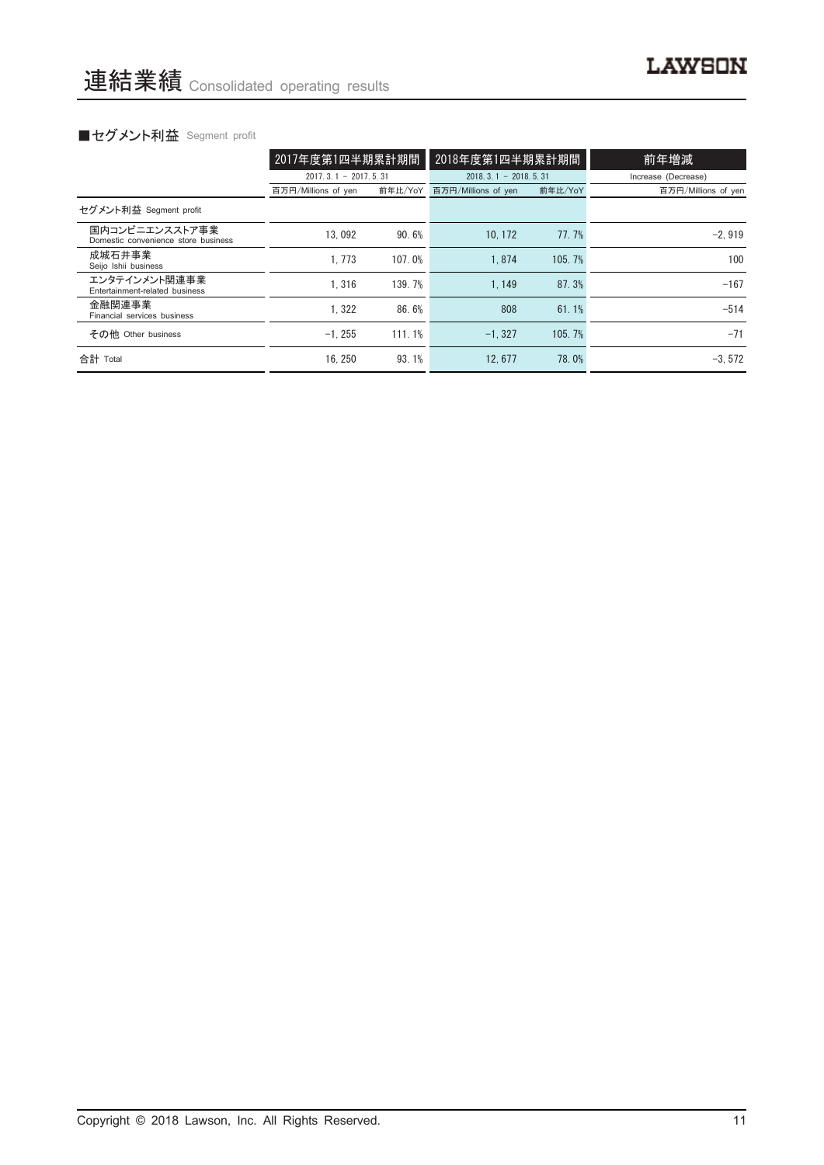|                                                       | 2017年度第1四半期累計期間        |         | 2018年度第1四半期累計期間        |         | 前年増減                |  |
|-------------------------------------------------------|------------------------|---------|------------------------|---------|---------------------|--|
|                                                       | $2017.3.1 - 2017.5.31$ |         | $2018.3.1 - 2018.5.31$ |         | Increase (Decrease) |  |
|                                                       | 百万円/Millions of yen    | 前年比/YoY | 百万円/Millions of yen    | 前年比/YoY | 百万円/Millions of yen |  |
| セグメント利益 Segment profit                                |                        |         |                        |         |                     |  |
| 国内コンビニエンスストア事業<br>Domestic convenience store business | 13.092                 | 90.6%   | 10.172                 | 77.7%   | $-2.919$            |  |
| 成城石井事業<br>Seijo Ishii business                        | 1.773                  | 107.0%  | 1.874                  | 105.7%  | 100                 |  |
| エンタテインメント関連事業<br>Entertainment-related business       | 1.316                  | 139.7%  | 1.149                  | 87.3%   | $-167$              |  |
| 金融関連事業<br>Financial services business                 | 1.322                  | 86.6%   | 808                    | 61.1%   | $-514$              |  |
| その他 Other business                                    | $-1.255$               | 111.1%  | $-1.327$               | 105.7%  | $-71$               |  |
| 合計 Total                                              | 16.250                 | 93.1%   | 12.677                 | 78.0%   | $-3.572$            |  |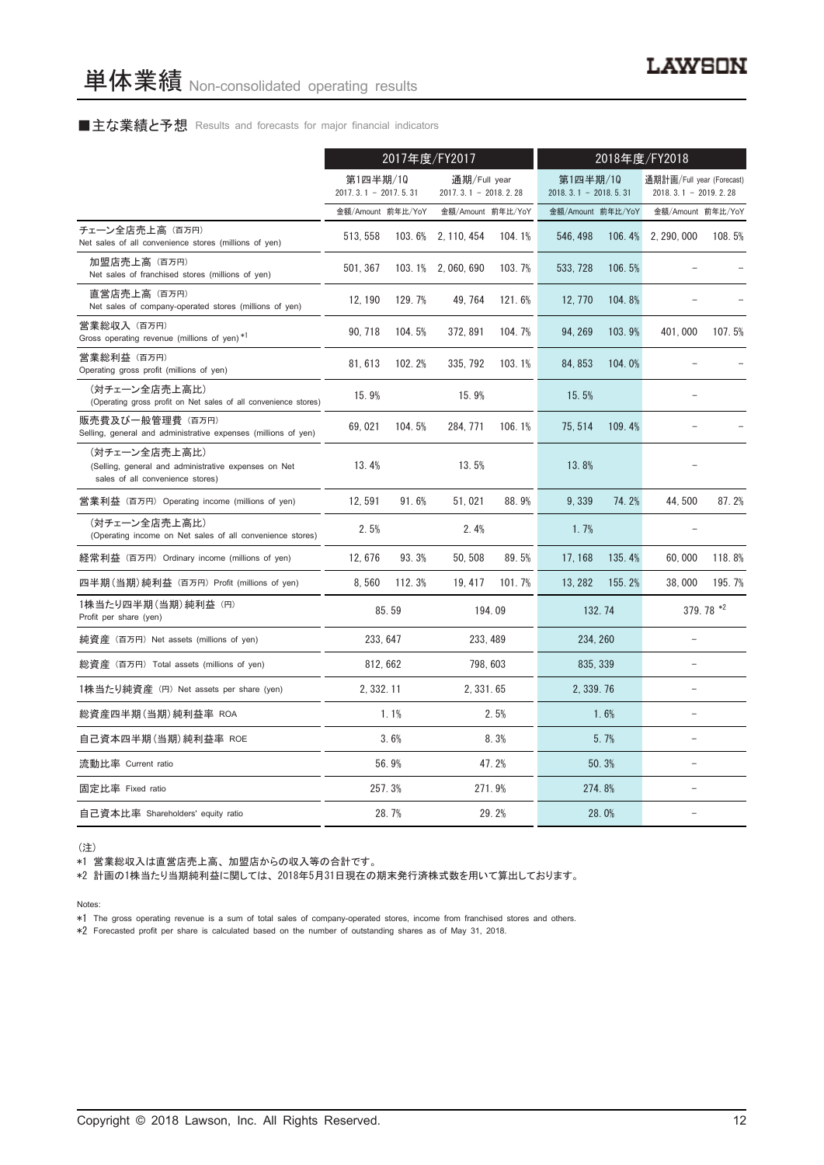#### ■主な業績と予想 Results and forecasts for major financial indicators

|                                                                                                           | 2017年度/FY2017                    |          |                                          |          | 2018年度/FY2018                          |        |                                                     |           |
|-----------------------------------------------------------------------------------------------------------|----------------------------------|----------|------------------------------------------|----------|----------------------------------------|--------|-----------------------------------------------------|-----------|
|                                                                                                           | 第1四半期/10<br>2017.3.1 - 2017.5.31 |          | 通期/Full year<br>2017. 3. 1 - 2018. 2. 28 |          | 第1四半期/10<br>$2018, 3, 1 - 2018, 5, 31$ |        | 通期計画/Full year (Forecast)<br>$2018.3.1 - 2019.2.28$ |           |
|                                                                                                           | 金額/Amount 前年比/YoY                |          | 金額/Amount 前年比/YoY                        |          | 金額/Amount 前年比/YoY                      |        | 金額/Amount 前年比/YoY                                   |           |
| チェーン全店売上高 (百万円)<br>Net sales of all convenience stores (millions of yen)                                  | 513.558                          | 103.6%   | 2, 110, 454                              | 104.1%   | 546.498                                | 106.4% | 2, 290, 000                                         | 108.5%    |
| 加盟店売上高 (百万円)<br>Net sales of franchised stores (millions of yen)                                          | 501, 367                         |          | 103.1% 2,060,690                         | 103.7%   | 533, 728                               | 106.5% |                                                     |           |
| 直営店売上高(百万円)<br>Net sales of company-operated stores (millions of yen)                                     | 12, 190                          | 129.7%   | 49, 764                                  | 121.6%   | 12, 770                                | 104.8% |                                                     |           |
| 営業総収入 (百万円)<br>Gross operating revenue (millions of yen) *1                                               | 90, 718                          | 104.5%   | 372, 891                                 | 104.7%   | 94, 269                                | 103.9% | 401,000                                             | 107.5%    |
| 営業総利益 (百万円)<br>Operating gross profit (millions of yen)                                                   | 81, 613                          | 102.2%   | 335, 792                                 | 103.1%   | 84, 853                                | 104.0% |                                                     |           |
| (対チェーン全店売上高比)<br>(Operating gross profit on Net sales of all convenience stores)                          | 15.9%                            |          | 15.9%                                    |          | 15.5%                                  |        |                                                     |           |
| 販売費及び一般管理費 (百万円)<br>Selling, general and administrative expenses (millions of yen)                        | 69,021                           | 104.5%   | 284, 771                                 | 106.1%   | 75, 514                                | 109.4% |                                                     |           |
| (対チェーン全店売上高比)<br>(Selling, general and administrative expenses on Net<br>sales of all convenience stores) | 13.4%                            |          | 13.5%                                    |          | 13.8%                                  |        |                                                     |           |
| 営業利益 (百万円) Operating income (millions of yen)                                                             | 12.591                           | 91.6%    | 51.021                                   | 88.9%    | 9.339                                  | 74.2%  | 44.500                                              | 87.2%     |
| (対チェーン全店売上高比)<br>(Operating income on Net sales of all convenience stores)                                | 2.5%                             |          | 2.4%                                     |          | 1.7%                                   |        |                                                     |           |
| 経常利益 (百万円) Ordinary income (millions of yen)                                                              | 12,676                           | 93.3%    | 50, 508                                  | 89.5%    | 17.168                                 | 135.4% | 60.000                                              | 118.8%    |
| 四半期(当期)純利益 (百万円) Profit (millions of yen)                                                                 | 8.560                            | 112.3%   | 19, 417                                  | 101.7%   | 13, 282                                | 155.2% | 38,000                                              | 195.7%    |
| 1株当たり四半期 (当期) 純利益 (円)<br>Profit per share (yen)                                                           |                                  | 85.59    |                                          | 194.09   |                                        | 132.74 |                                                     | 379.78 *2 |
| 純資産 (百万円) Net assets (millions of yen)                                                                    |                                  | 233, 647 |                                          | 233, 489 | 234, 260                               |        | $\equiv$                                            |           |
| 総資産 (百万円) Total assets (millions of yen)                                                                  |                                  | 812, 662 |                                          | 798, 603 | 835, 339                               |        | ÷.                                                  |           |
| 1株当たり純資産 (円) Net assets per share (yen)                                                                   | 2.332.11                         |          | 2.331.65                                 |          | 2.339.76                               |        | L.                                                  |           |
| 総資産四半期(当期) 純利益率 ROA                                                                                       |                                  | 1.1%     |                                          | 2.5%     |                                        | 1.6%   | ۳                                                   |           |
| 自己資本四半期(当期)純利益率 ROE                                                                                       |                                  | 3.6%     |                                          | 8.3%     |                                        | 5.7%   | $\qquad \qquad -$                                   |           |
| 流動比率 Current ratio                                                                                        |                                  | 56.9%    |                                          | 47.2%    |                                        | 50.3%  | $\equiv$                                            |           |
| 固定比率 Fixed ratio                                                                                          |                                  | 257.3%   |                                          | 271.9%   |                                        | 274.8% |                                                     |           |
| 自己資本比率 Shareholders' equity ratio                                                                         |                                  | 28.7%    | 29.2%                                    |          | 28.0%                                  |        |                                                     |           |

(注)

\*1 営業総収入は直営店売上高、加盟店からの収入等の合計です。

\*2 計画の1株当たり当期純利益に関しては、2018年5月31日現在の期末発行済株式数を用いて算出しております。

Notes:

\*1 The gross operating revenue is a sum of total sales of company-operated stores, income from franchised stores and others.

\*2 Forecasted profit per share is calculated based on the number of outstanding shares as of May 31, 2018.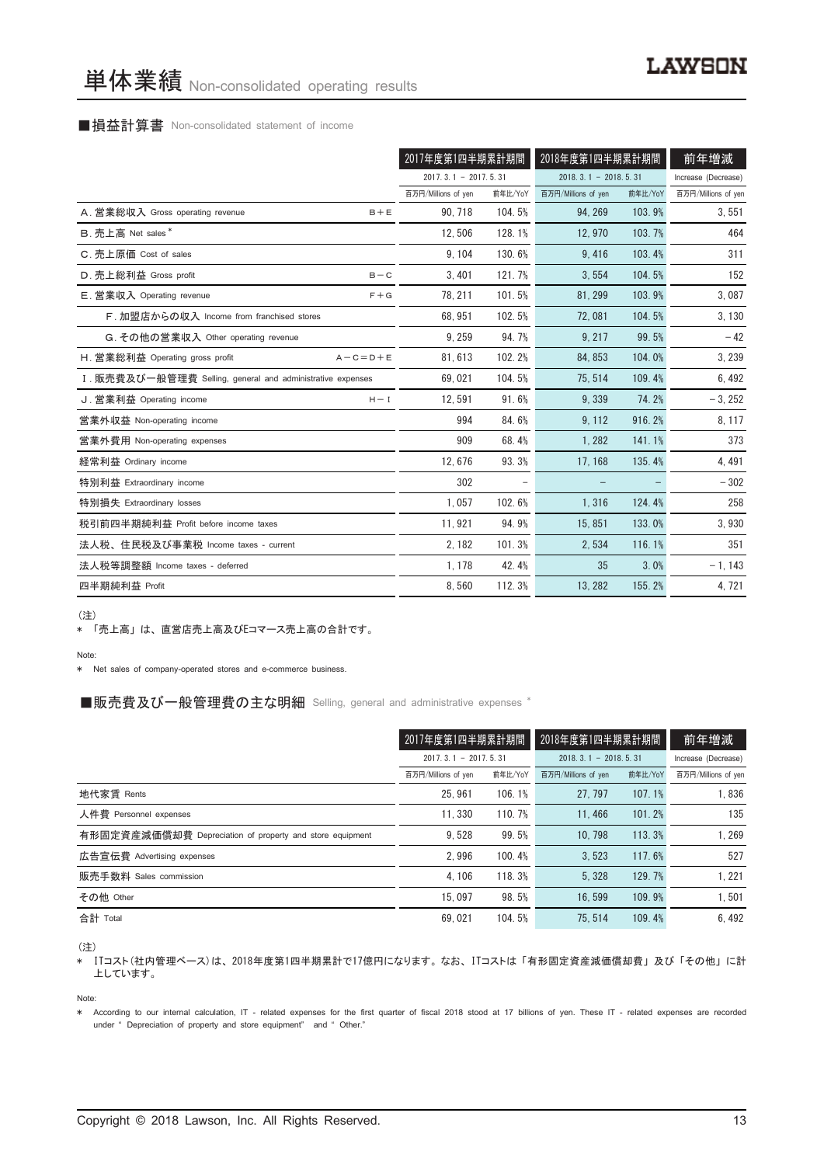#### ■損益計算書 Non-consolidated statement of income

|                                                            | 2017年度第1四半期累計期間        |         | 2018年度第1四半期累計期間        | 前年増減    |                     |
|------------------------------------------------------------|------------------------|---------|------------------------|---------|---------------------|
|                                                            | $2017.3.1 - 2017.5.31$ |         | $2018.3.1 - 2018.5.31$ |         | Increase (Decrease) |
|                                                            | 百万円/Millions of yen    | 前年比/YoY | 百万円/Millions of yen    | 前年比/YoY | 百万円/Millions of yen |
| A. 営業総収入 Gross operating revenue<br>$B + E$                | 90, 718                | 104.5%  | 94.269                 | 103.9%  | 3,551               |
| B. 売上高 Net sales*                                          | 12,506                 | 128.1%  | 12,970                 | 103.7%  | 464                 |
| C. 売上原価 Cost of sales                                      | 9.104                  | 130.6%  | 9.416                  | 103.4%  | 311                 |
| D. 売上総利益 Gross profit<br>$B - C$                           | 3, 401                 | 121.7%  | 3,554                  | 104.5%  | 152                 |
| E. 営業収入 Operating revenue<br>$F + G$                       | 78, 211                | 101.5%  | 81.299                 | 103.9%  | 3,087               |
| F. 加盟店からの収入 Income from franchised stores                  | 68.951                 | 102.5%  | 72.081                 | 104.5%  | 3,130               |
| G. その他の営業収入 Other operating revenue                        | 9.259                  | 94.7%   | 9, 217                 | 99.5%   | $-42$               |
| H. 営業総利益 Operating gross profit<br>$A - C = D + E$         | 81,613                 | 102.2%  | 84, 853                | 104.0%  | 3, 239              |
| I. 販売費及び一般管理費 Selling, general and administrative expenses | 69.021                 | 104.5%  | 75.514                 | 109.4%  | 6,492               |
| J. 営業利益 Operating income<br>$H - I$                        | 12.591                 | 91.6%   | 9.339                  | 74.2%   | $-3, 252$           |
| 営業外収益 Non-operating income                                 | 994                    | 84.6%   | 9, 112                 | 916.2%  | 8, 117              |
| 営業外費用 Non-operating expenses                               | 909                    | 68.4%   | 1,282                  | 141.1%  | 373                 |
| 経常利益 Ordinary income                                       | 12,676                 | 93.3%   | 17, 168                | 135.4%  | 4, 491              |
| 特別利益 Extraordinary income                                  | 302                    |         |                        |         | $-302$              |
| 特別損失 Extraordinary losses                                  | 1.057                  | 102.6%  | 1,316                  | 124.4%  | 258                 |
| 税引前四半期純利益 Profit before income taxes                       | 11, 921                | 94.9%   | 15, 851                | 133.0%  | 3,930               |
| 法人税、住民税及び事業税 Income taxes - current                        | 2, 182                 | 101.3%  | 2,534                  | 116.1%  | 351                 |
| 法人税等調整額 Income taxes - deferred                            | 1, 178                 | 42.4%   | 35                     | 3.0%    | $-1, 143$           |
| 四半期純利益 Profit                                              | 8,560                  | 112.3%  | 13, 282                | 155.2%  | 4, 721              |

(注)

\* 「売上高」は、直営店売上高及びEコマース売上高の合計です。

#### Note:

\* Net sales of company-operated stores and e-commerce business.

#### ■販売費及び一般管理費の主な明細 Selling, general and administrative expenses \*

|                                                          | 2017年度第1四半期累計期間        |         | 2018年度第1四半期累計期間<br>$2018.3.1 - 2018.5.31$ |         | 前年増減                |  |
|----------------------------------------------------------|------------------------|---------|-------------------------------------------|---------|---------------------|--|
|                                                          | $2017.3.1 - 2017.5.31$ |         |                                           |         | Increase (Decrease) |  |
|                                                          | 百万円/Millions of yen    | 前年比/YoY | 百万円/Millions of yen                       | 前年比/YoY | 百万円/Millions of yen |  |
| 地代家賃 Rents                                               | 25.961                 | 106.1%  | 27.797                                    | 107.1%  | 1.836               |  |
| 人件費 Personnel expenses                                   | 11.330                 | 110.7%  | 11.466                                    | 101.2%  | 135                 |  |
| 有形固定資産減価償却費 Depreciation of property and store equipment | 9.528                  | 99.5%   | 10.798                                    | 113.3%  | 1,269               |  |
| 広告宣伝費 Advertising expenses                               | 2.996                  | 100.4%  | 3.523                                     | 117.6%  | 527                 |  |
| 販売手数料 Sales commission                                   | 4.106                  | 118.3%  | 5.328                                     | 129.7%  | 1,221               |  |
| その他 Other                                                | 15.097                 | 98.5%   | 16.599                                    | 109.9%  | 1,501               |  |
| 合計 Total                                                 | 69.021                 | 104.5%  | 75.514                                    | 109.4%  | 6.492               |  |

(注)

。\_\_\_<br>\* ITコスト(社内管理ベース)は、2018年度第1四半期累計で17億円になります。なお、ITコストは「有形固定資産減価償却費」及び「その他」に計 上しています。

Note:

\* According to our internal calculation, IT - related expenses for the first quarter of fiscal 2018 stood at 17 billions of yen. These IT - related expenses are recorded under " Depreciation of property and store equipment" and " Other."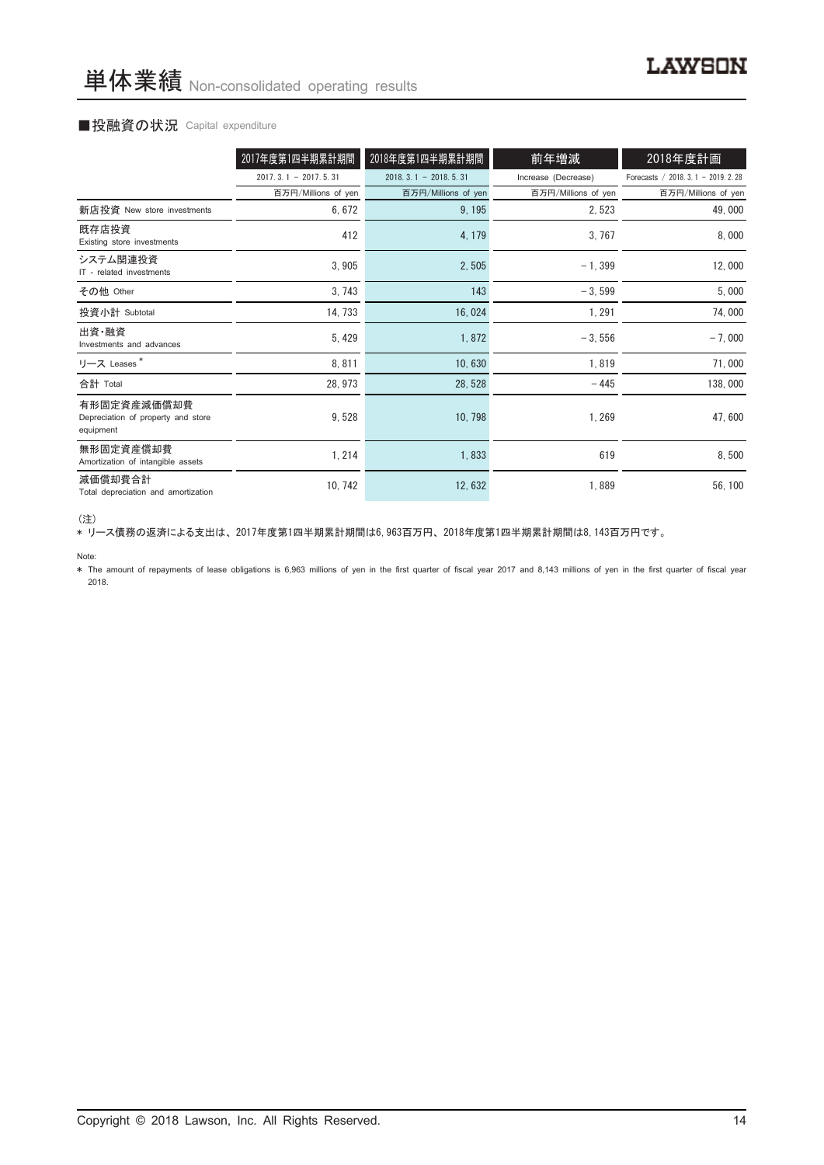#### ■投融資の状況 Capital expenditure

|                                                                | 2017年度第1四半期累計期間        | 2018年度第1四半期累計期間            | 前年増減                | 2018年度計画                            |
|----------------------------------------------------------------|------------------------|----------------------------|---------------------|-------------------------------------|
|                                                                | $2017.3.1 - 2017.5.31$ | $2018, 3, 1 - 2018, 5, 31$ | Increase (Decrease) | Forecasts / 2018. 3.1 - 2019. 2. 28 |
|                                                                | 百万円/Millions of yen    | 百万円/Millions of yen        | 百万円/Millions of yen | 百万円/Millions of yen                 |
| 新店投資 New store investments                                     | 6, 672                 | 9, 195                     | 2,523               | 49,000                              |
| 既存店投資<br>Existing store investments                            | 412                    | 4, 179                     | 3,767               | 8,000                               |
| システム関連投資<br>IT - related investments                           | 3,905                  | 2,505                      | $-1,399$            | 12,000                              |
| その他 Other                                                      | 3,743                  | 143                        | $-3,599$            | 5,000                               |
| 投資小計 Subtotal                                                  | 14, 733                | 16,024                     | 1, 291              | 74,000                              |
| 出資·融資<br>Investments and advances                              | 5, 429                 | 1,872                      | $-3,556$            | $-7,000$                            |
| リース Leases*                                                    | 8,811                  | 10,630                     | 1,819               | 71,000                              |
| 合計 Total                                                       | 28, 973                | 28, 528                    | $-445$              | 138,000                             |
| 有形固定資産減価償却費<br>Depreciation of property and store<br>equipment | 9,528                  | 10, 798                    | 1, 269              | 47,600                              |
| 無形固定資産償却費<br>Amortization of intangible assets                 | 1, 214                 | 1,833                      | 619                 | 8,500                               |
| 減価償却費合計<br>Total depreciation and amortization                 | 10, 742                | 12,632                     | 1,889               | 56, 100                             |

<sup>(</sup>注)

\* リース債務の返済による支出は、2017年度第1四半期累計期間は6,963百万円、2018年度第1四半期累計期間は8,143百万円です。

Note:

\* The amount of repayments of lease obligations is 6,963 millions of yen in the first quarter of fiscal year 2017 and 8,143 millions of yen in the first quarter of fiscal year 2018.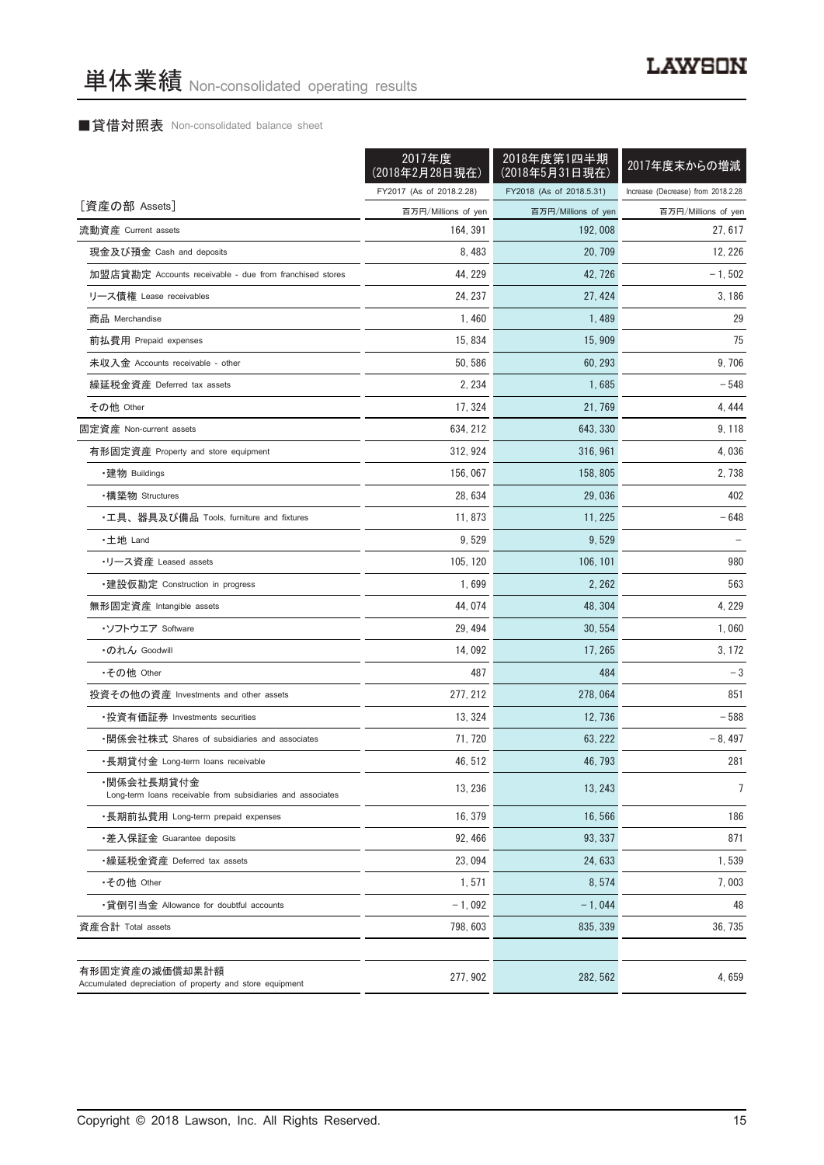## ■貸借対照表 Non-consolidated balance sheet

|                                                                            | 2017年度<br>(2018年2月28日現在) | 2018年度第1四半期<br>(2018年5月31日現在) | 2017年度末からの増減                       |
|----------------------------------------------------------------------------|--------------------------|-------------------------------|------------------------------------|
|                                                                            | FY2017 (As of 2018.2.28) | FY2018 (As of 2018.5.31)      | Increase (Decrease) from 2018.2.28 |
| [資産の部 Assets]                                                              | 百万円/Millions of yen      | 百万円/Millions of yen           | 百万円/Millions of yen                |
| 流動資産 Current assets                                                        | 164, 391                 | 192, 008                      | 27, 617                            |
| 現金及び預金 Cash and deposits                                                   | 8, 483                   | 20, 709                       | 12, 226                            |
| 加盟店貸勘定 Accounts receivable - due from franchised stores                    | 44, 229                  | 42, 726                       | $-1, 502$                          |
| リース債権 Lease receivables                                                    | 24.237                   | 27, 424                       | 3,186                              |
| 商品 Merchandise                                                             | 1,460                    | 1,489                         | 29                                 |
| 前払費用 Prepaid expenses                                                      | 15, 834                  | 15, 909                       | 75                                 |
| 未収入金 Accounts receivable - other                                           | 50, 586                  | 60, 293                       | 9,706                              |
| 繰延税金資産 Deferred tax assets                                                 | 2, 234                   | 1,685                         | $-548$                             |
| その他 Other                                                                  | 17, 324                  | 21, 769                       | 4, 444                             |
| 固定資産 Non-current assets                                                    | 634, 212                 | 643, 330                      | 9, 118                             |
| 有形固定資産 Property and store equipment                                        | 312, 924                 | 316, 961                      | 4,036                              |
| ・建物 Buildings                                                              | 156, 067                 | 158, 805                      | 2, 738                             |
| ・構築物 Structures                                                            | 28, 634                  | 29,036                        | 402                                |
| ・工具、器具及び備品 Tools, furniture and fixtures                                   | 11,873                   | 11, 225                       | $-648$                             |
| ・土地 Land                                                                   | 9,529                    | 9,529                         |                                    |
| •リース資産 Leased assets                                                       | 105, 120                 | 106, 101                      | 980                                |
| ・建設仮勘定 Construction in progress                                            | 1,699                    | 2, 262                        | 563                                |
| 無形固定資産 Intangible assets                                                   | 44, 074                  | 48, 304                       | 4, 229                             |
| ・ソフトウエア Software                                                           | 29, 494                  | 30, 554                       | 1,060                              |
| ・のれん Goodwill                                                              | 14,092                   | 17, 265                       | 3, 172                             |
| •その他 Other                                                                 | 487                      | 484                           | $-3$                               |
| 投資その他の資産 Investments and other assets                                      | 277, 212                 | 278, 064                      | 851                                |
| •投資有価証券 Investments securities                                             | 13, 324                  | 12, 736                       | $-588$                             |
| •関係会社株式 Shares of subsidiaries and associates                              | 71, 720                  | 63, 222                       | $-8,497$                           |
| ・長期貸付金 Long-term loans receivable                                          | 46, 512                  | 46, 793                       | 281                                |
| ・関係会社長期貸付金<br>Long-term loans receivable from subsidiaries and associates  | 13, 236                  | 13, 243                       | 7                                  |
| ・長期前払費用 Long-term prepaid expenses                                         | 16, 379                  | 16,566                        | 186                                |
| ・差入保証金 Guarantee deposits                                                  | 92, 466                  | 93, 337                       | 871                                |
| ・繰延税金資産 Deferred tax assets                                                | 23,094                   | 24, 633                       | 1,539                              |
| •その他 Other                                                                 | 1,571                    | 8,574                         | 7,003                              |
| •貸倒引当金 Allowance for doubtful accounts                                     | $-1,092$                 | $-1,044$                      | 48                                 |
| 資産合計 Total assets                                                          | 798, 603                 | 835, 339                      | 36, 735                            |
| 有形固定資産の減価償却累計額<br>Accumulated depreciation of property and store equipment | 277, 902                 | 282, 562                      | 4,659                              |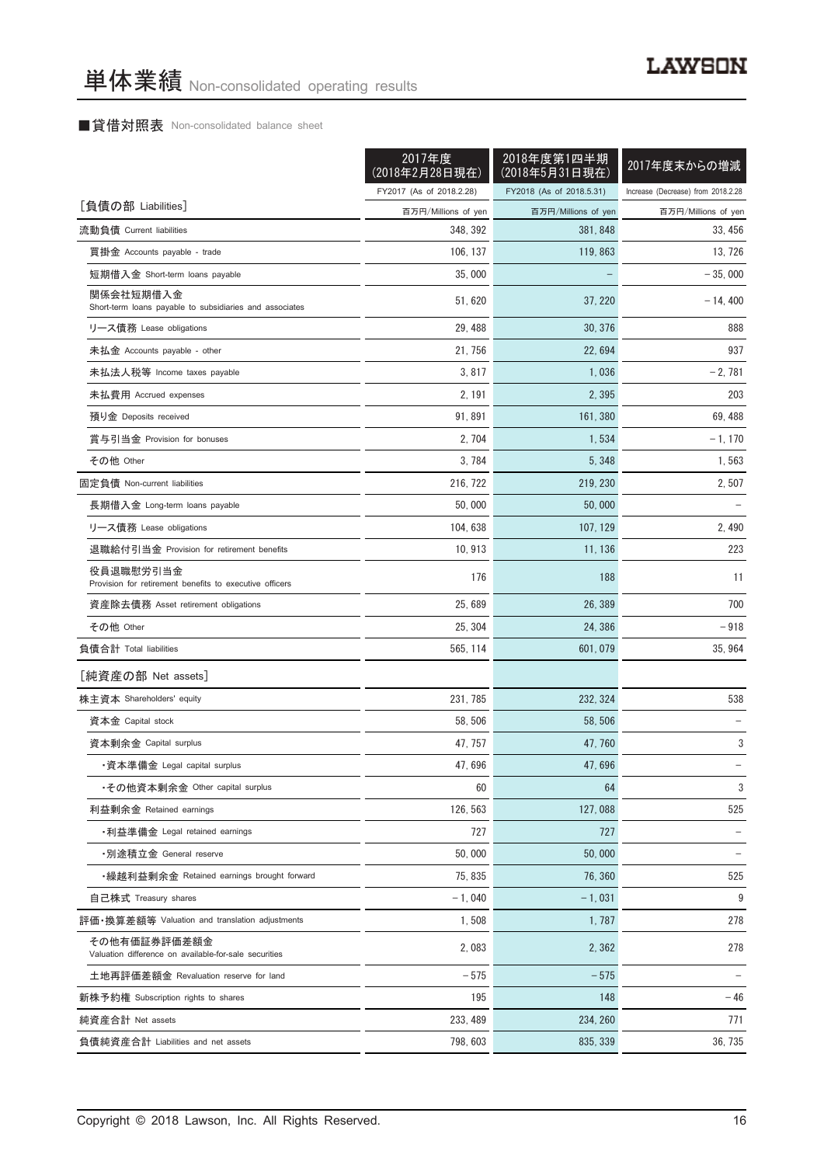## ■貸借対照表 Non-consolidated balance sheet

|                                                                       | 2017年度<br>(2018年2月28日現在) | 2018年度第1四半期<br>(2018年5月31日現在) | 2017年度末からの増減                       |
|-----------------------------------------------------------------------|--------------------------|-------------------------------|------------------------------------|
|                                                                       | FY2017 (As of 2018.2.28) | FY2018 (As of 2018.5.31)      | Increase (Decrease) from 2018.2.28 |
| [負債の部 Liabilities]                                                    | 百万円/Millions of yen      | 百万円/Millions of yen           | 百万円/Millions of yen                |
| 流動負債 Current liabilities                                              | 348, 392                 | 381, 848                      | 33, 456                            |
| 買掛金 Accounts payable - trade                                          | 106, 137                 | 119, 863                      | 13, 726                            |
| 短期借入金 Short-term loans payable                                        | 35,000                   |                               | $-35,000$                          |
| 関係会社短期借入金<br>Short-term loans payable to subsidiaries and associates  | 51, 620                  | 37, 220                       | $-14, 400$                         |
| リース債務 Lease obligations                                               | 29, 488                  | 30, 376                       | 888                                |
| 未払金 Accounts payable - other                                          | 21, 756                  | 22, 694                       | 937                                |
| 未払法人税等 Income taxes payable                                           | 3, 817                   | 1,036                         | $-2,781$                           |
| 未払費用 Accrued expenses                                                 | 2, 191                   | 2,395                         | 203                                |
| 預り金 Deposits received                                                 | 91, 891                  | 161, 380                      | 69, 488                            |
| 賞与引当金 Provision for bonuses                                           | 2, 704                   | 1,534                         | $-1, 170$                          |
| その他 Other                                                             | 3, 784                   | 5, 348                        | 1,563                              |
| 固定負債 Non-current liabilities                                          | 216, 722                 | 219, 230                      | 2,507                              |
| 長期借入金 Long-term loans payable                                         | 50,000                   | 50.000                        |                                    |
| リース債務 Lease obligations                                               | 104, 638                 | 107, 129                      | 2, 490                             |
| 退職給付引当金 Provision for retirement benefits                             | 10, 913                  | 11, 136                       | 223                                |
| 役員退職慰労引当金<br>Provision for retirement benefits to executive officers  | 176                      | 188                           | 11                                 |
| 資産除去債務 Asset retirement obligations                                   | 25,689                   | 26, 389                       | 700                                |
| その他 Other                                                             | 25, 304                  | 24, 386                       | $-918$                             |
| 負債合計 Total liabilities                                                | 565, 114                 | 601, 079                      | 35, 964                            |
| [純資産の部 Net assets]                                                    |                          |                               |                                    |
| 株主資本 Shareholders' equity                                             | 231, 785                 | 232, 324                      | 538                                |
| 資本金 Capital stock                                                     | 58, 506                  | 58, 506                       |                                    |
| 資本剰余金 Capital surplus                                                 | 47, 757                  | 47, 760                       | 3                                  |
| ・資本準備金 Legal capital surplus                                          | 47,696                   | 47,696                        |                                    |
| •その他資本剰余金 Other capital surplus                                       | 60                       | 64                            | 3                                  |
| 利益剰余金 Retained earnings                                               | 126, 563                 | 127,088                       | 525                                |
| ・利益準備金 Legal retained earnings                                        | 727                      | 727                           |                                    |
| ・別途積立金 General reserve                                                | 50,000                   | 50,000                        |                                    |
| ・繰越利益剰余金 Retained earnings brought forward                            | 75.835                   | 76, 360                       | 525                                |
| 自己株式 Treasury shares                                                  | $-1,040$                 | $-1,031$                      | 9                                  |
| 評価·換算差額等 Valuation and translation adjustments                        | 1,508                    | 1, 787                        | 278                                |
| その他有価証券評価差額金<br>Valuation difference on available-for-sale securities | 2,083                    | 2,362                         | 278                                |
| 土地再評価差額金 Revaluation reserve for land                                 | $-575$                   | $-575$                        |                                    |
| 新株予約権 Subscription rights to shares                                   | 195                      | 148                           | $-46$                              |
| 純資産合計 Net assets                                                      | 233, 489                 | 234, 260                      | 771                                |
| 負債純資産合計 Liabilities and net assets                                    | 798, 603                 | 835, 339                      | 36, 735                            |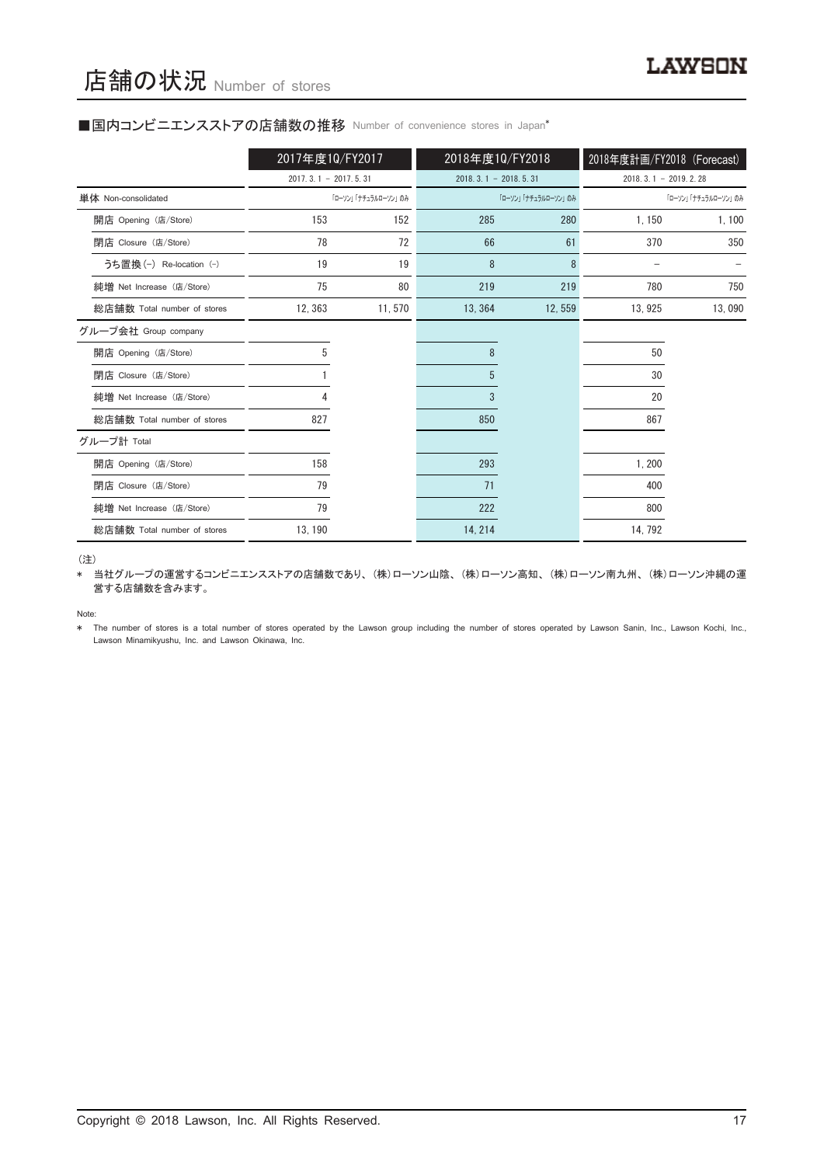#### ■国内コンビニエンスストアの店舗数の推移 Number of convenience stores in Japan\*

|                             | 2017年度10/FY2017        |                     | 2018年度10/FY2018        |                     | 2018年度計画/FY2018 (Forecast) |                     |
|-----------------------------|------------------------|---------------------|------------------------|---------------------|----------------------------|---------------------|
|                             | $2017.3.1 - 2017.5.31$ |                     | $2018.3.1 - 2018.5.31$ |                     | $2018, 3, 1 - 2019, 2, 28$ |                     |
| 単体 Non-consolidated         |                        | 「ローソン」「ナチュラルローソン」のみ |                        | 「ローソン」「ナチュラルローソン」のみ |                            | 「ローソン」「ナチュラルローソン」のみ |
| 開店 Opening (店/Store)        | 153                    | 152                 | 285                    | 280                 | 1,150                      | 1, 100              |
| 閉店 Closure (店/Store)        | 78                     | 72                  | 66                     | 61                  | 370                        | 350                 |
| うち置換 (-) Re-location (-)    | 19                     | 19                  | 8                      | 8                   |                            |                     |
| 純増 Net Increase (店/Store)   | 75                     | 80                  | 219                    | 219                 | 780                        | 750                 |
| 総店舗数 Total number of stores | 12, 363                | 11,570              | 13, 364                | 12,559              | 13, 925                    | 13,090              |
| グループ会社 Group company        |                        |                     |                        |                     |                            |                     |
| 開店 Opening (店/Store)        | 5                      |                     | 8                      |                     | 50                         |                     |
| 閉店 Closure (店/Store)        |                        |                     | 5                      |                     | 30                         |                     |
| 純増 Net Increase (店/Store)   |                        |                     | 3                      |                     | 20                         |                     |
| 総店舗数 Total number of stores | 827                    |                     | 850                    |                     | 867                        |                     |
| グループ計 Total                 |                        |                     |                        |                     |                            |                     |
| 開店 Opening (店/Store)        | 158                    |                     | 293                    |                     | 1,200                      |                     |
| 閉店 Closure (店/Store)        | 79                     |                     | 71                     |                     | 400                        |                     |
| 純増 Net Increase (店/Store)   | 79                     |                     | 222                    |                     | 800                        |                     |
| 総店舗数 Total number of stores | 13, 190                |                     | 14, 214                |                     | 14, 792                    |                     |

(注)

\* 当社グループの運営するコンビニエンスストアの店舗数であり、(株)ローソン山陰、(株)ローソン高知、(株)ローソン南九州、(株)ローソン沖縄の運 営する店舗数を含みます。

Note:

\* The number of stores is a total number of stores operated by the Lawson group including the number of stores operated by Lawson Sanin, Inc., Lawson Kochi, Inc., Lawson Minamikyushu, Inc. and Lawson Okinawa, Inc.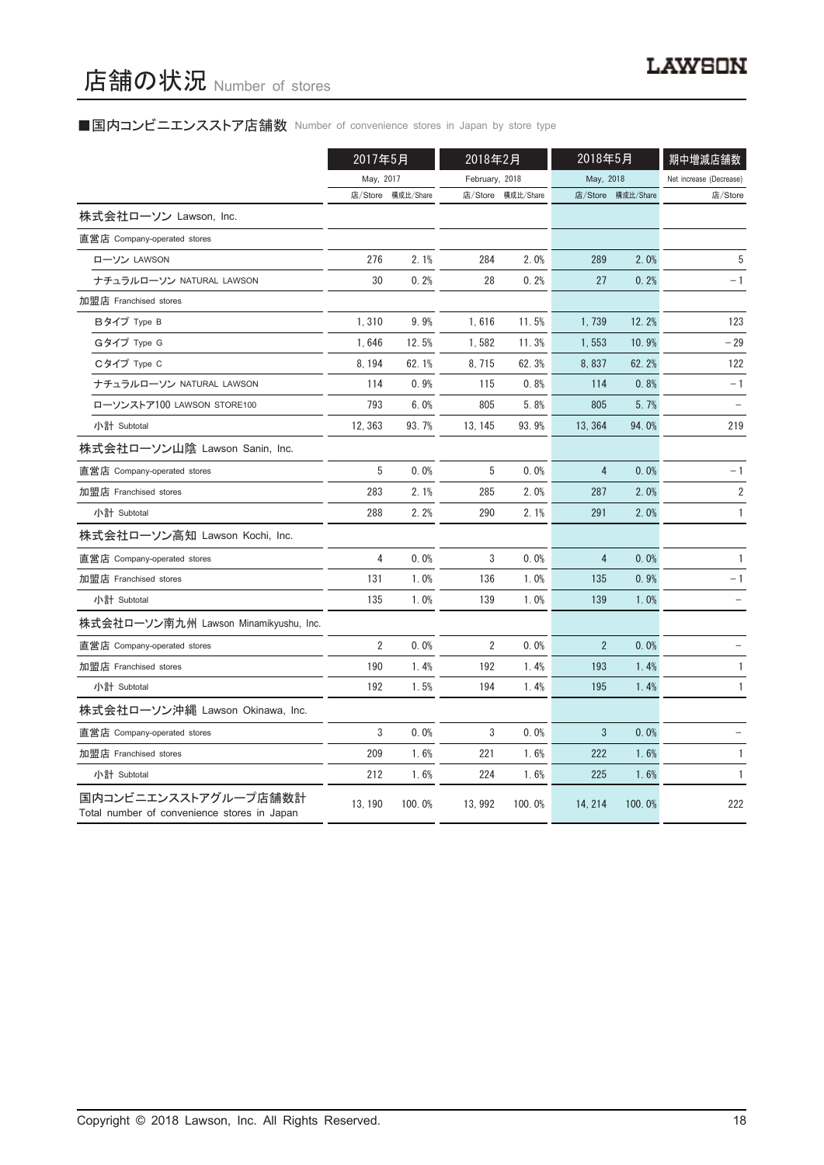## ■国内コンビニエンスストア店舗数 Number of convenience stores in Japan by store type

|                                                                     | 2017年5月        |           | 2018年2月        |           | 2018年5月        |                   | 期中増減店舗数                 |
|---------------------------------------------------------------------|----------------|-----------|----------------|-----------|----------------|-------------------|-------------------------|
|                                                                     | May, 2017      |           | February, 2018 |           | May, 2018      |                   | Net increase (Decrease) |
|                                                                     | 店/Store        | 構成比/Share | 店/Store        | 構成比/Share |                | 店/Store 構成比/Share | 店/Store                 |
| 株式会社ローソン Lawson, Inc.                                               |                |           |                |           |                |                   |                         |
| 直営店 Company-operated stores                                         |                |           |                |           |                |                   |                         |
| ローソン LAWSON                                                         | 276            | 2.1%      | 284            | 2.0%      | 289            | 2.0%              | 5                       |
| ナチュラルローソン NATURAL LAWSON                                            | 30             | 0.2%      | 28             | 0.2%      | 27             | 0.2%              | - 1                     |
| 加盟店 Franchised stores                                               |                |           |                |           |                |                   |                         |
| Bタイプ Type B                                                         | 1,310          | 9.9%      | 1,616          | 11.5%     | 1,739          | 12.2%             | 123                     |
| Gタイプ Type G                                                         | 1,646          | 12.5%     | 1,582          | 11.3%     | 1,553          | 10.9%             | $-29$                   |
| Cタイプ Type C                                                         | 8, 194         | 62.1%     | 8,715          | 62.3%     | 8,837          | 62.2%             | 122                     |
| ナチュラルローソン NATURAL LAWSON                                            | 114            | 0.9%      | 115            | 0.8%      | 114            | 0.8%              | $-1$                    |
| ローソンストア100 LAWSON STORE100                                          | 793            | 6.0%      | 805            | 5.8%      | 805            | 5.7%              |                         |
| 小計 Subtotal                                                         | 12, 363        | 93.7%     | 13, 145        | 93.9%     | 13, 364        | 94.0%             | 219                     |
| 株式会社ローソン山陰 Lawson Sanin, Inc.                                       |                |           |                |           |                |                   |                         |
| 直営店 Company-operated stores                                         | 5              | 0.0%      | 5              | 0.0%      | 4              | 0.0%              | $-1$                    |
| 加盟店 Franchised stores                                               | 283            | 2.1%      | 285            | 2.0%      | 287            | 2.0%              | $\overline{2}$          |
| 小計 Subtotal                                                         | 288            | 2.2%      | 290            | 2.1%      | 291            | 2.0%              | $\mathbf{1}$            |
| 株式会社ローソン高知 Lawson Kochi, Inc.                                       |                |           |                |           |                |                   |                         |
| 直営店 Company-operated stores                                         | 4              | 0.0%      | 3              | 0.0%      | $\overline{4}$ | 0.0%              | $\mathbf{1}$            |
| 加盟店 Franchised stores                                               | 131            | 1.0%      | 136            | 1.0%      | 135            | 0.9%              | $-1$                    |
| 小計 Subtotal                                                         | 135            | 1.0%      | 139            | 1.0%      | 139            | 1.0%              |                         |
| 株式会社ローソン南九州 Lawson Minamikyushu, Inc.                               |                |           |                |           |                |                   |                         |
| 直営店 Company-operated stores                                         | $\overline{2}$ | 0.0%      | $\overline{2}$ | 0.0%      | $\overline{2}$ | 0.0%              |                         |
| 加盟店 Franchised stores                                               | 190            | 1.4%      | 192            | 1.4%      | 193            | 1.4%              | $\mathbf{1}$            |
| 小計 Subtotal                                                         | 192            | 1.5%      | 194            | 1.4%      | 195            | 1.4%              | 1                       |
| 株式会社ローソン沖縄 Lawson Okinawa, Inc.                                     |                |           |                |           |                |                   |                         |
| 直営店 Company-operated stores                                         | 3              | 0.0%      | 3              | 0.0%      | 3              | 0.0%              |                         |
| 加盟店 Franchised stores                                               | 209            | 1.6%      | 221            | 1.6%      | 222            | 1.6%              | 1                       |
| 小計 Subtotal                                                         | 212            | 1.6%      | 224            | 1.6%      | 225            | 1.6%              | $\mathbf{1}$            |
| 国内コンビニエンスストアグループ店舗数計<br>Total number of convenience stores in Japan | 13, 190        | 100.0%    | 13, 992        | 100.0%    | 14, 214        | 100.0%            | 222                     |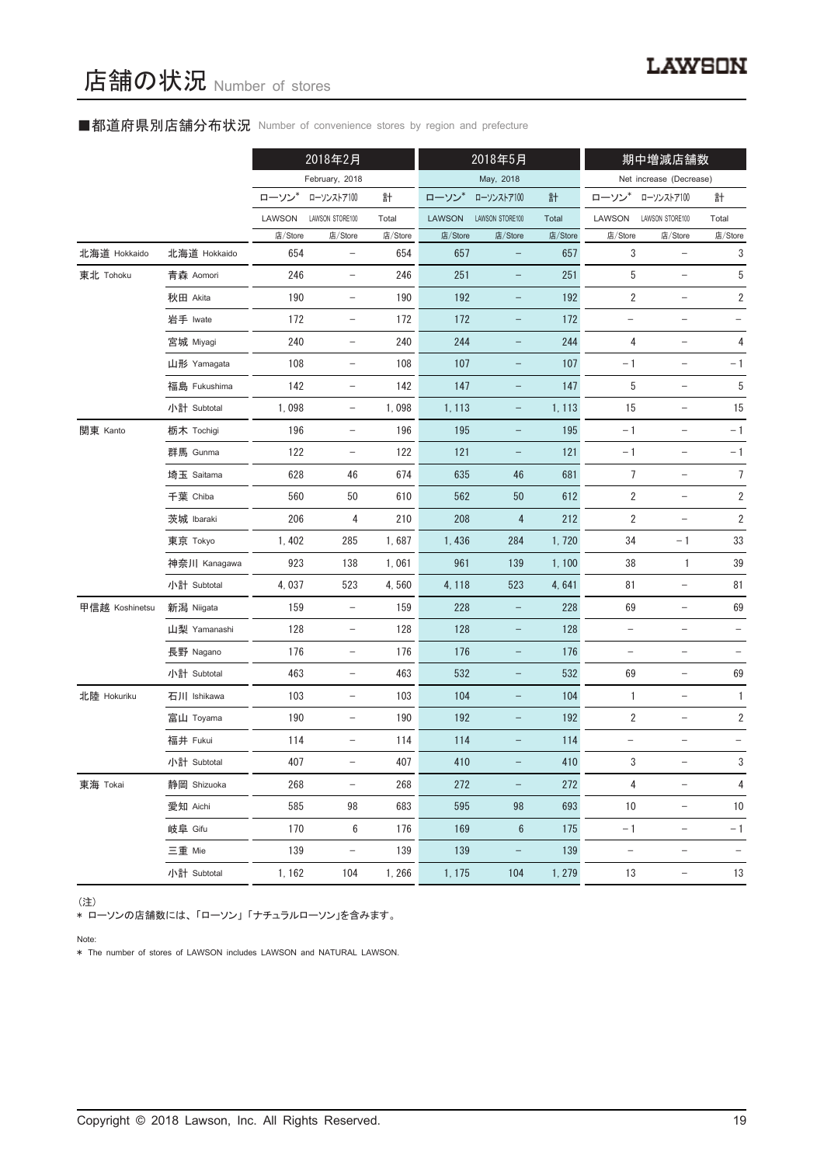## ■都道府県別店舗分布状況 Number of convenience stores by region and prefecture

|                |              |         | 2018年2月                  |         |               | 2018年5月                  |         |                          | 期中増減店舗数                  |                          |
|----------------|--------------|---------|--------------------------|---------|---------------|--------------------------|---------|--------------------------|--------------------------|--------------------------|
|                |              |         | February, 2018           |         |               | May, 2018                |         |                          | Net increase (Decrease)  |                          |
|                |              | ローソン    | ローソンストア100               | 計       | ローソン*         | ローソンストア100               | 計       | ローソン                     | ローソンストア100               | 計                        |
|                |              | LAWSON  | LAWSON STORE100          | Total   | <b>LAWSON</b> | LAWSON STORE100          | Total   | LAWSON                   | LAWSON STORE100          | Total                    |
|                |              | 店/Store | 店/Store                  | 店/Store | 店/Store       | 店/Store                  | 店/Store | 店/Store                  | 店/Store                  | 店/Store                  |
| 北海道 Hokkaido   | 北海道 Hokkaido | 654     | $\overline{\phantom{m}}$ | 654     | 657           | -                        | 657     | 3                        | $\qquad \qquad -$        | 3                        |
| 東北 Tohoku      | 青森 Aomori    | 246     | $\qquad \qquad -$        | 246     | 251           |                          | 251     | 5                        | $\qquad \qquad -$        | 5                        |
|                | 秋田 Akita     | 190     | $\overline{\phantom{a}}$ | 190     | 192           | -                        | 192     | $\overline{2}$           | $\qquad \qquad -$        | $\overline{\mathbf{c}}$  |
|                | 岩手 Iwate     | 172     | $\qquad \qquad -$        | 172     | 172           | -                        | 172     | $\qquad \qquad -$        |                          |                          |
|                | 宮城 Miyagi    | 240     | $\qquad \qquad -$        | 240     | 244           | -                        | 244     | 4                        | $\qquad \qquad -$        | 4                        |
|                | 山形 Yamagata  | 108     | $\overline{\phantom{a}}$ | 108     | 107           | -                        | 107     | $-1$                     | $\overline{\phantom{a}}$ | $-1$                     |
|                | 福島 Fukushima | 142     |                          | 142     | 147           | -                        | 147     | 5                        | $\qquad \qquad -$        | 5                        |
|                | 小計 Subtotal  | 1,098   | $\qquad \qquad -$        | 1,098   | 1, 113        | -                        | 1, 113  | 15                       | $\qquad \qquad -$        | 15                       |
| 関東 Kanto       | 栃木 Tochigi   | 196     | $\overline{\phantom{a}}$ | 196     | 195           | -                        | 195     | $-1$                     | $\qquad \qquad -$        | $-1$                     |
|                | 群馬 Gunma     | 122     | $\overline{\phantom{a}}$ | 122     | 121           | -                        | 121     | $-1$                     | $\qquad \qquad -$        | $-1$                     |
|                | 埼玉 Saitama   | 628     | 46                       | 674     | 635           | 46                       | 681     | $\overline{7}$           | $\overline{\phantom{0}}$ | $\overline{7}$           |
|                | 千葉 Chiba     | 560     | 50                       | 610     | 562           | 50                       | 612     | $\overline{2}$           | $\overline{\phantom{a}}$ | $\overline{\mathbf{c}}$  |
|                | 茨城 Ibaraki   | 206     | 4                        | 210     | 208           | $\overline{4}$           | 212     | $\overline{2}$           |                          | $\sqrt{2}$               |
|                | 東京 Tokyo     | 1,402   | 285                      | 1,687   | 1,436         | 284                      | 1,720   | 34                       | $-1$                     | 33                       |
|                | 神奈川 Kanagawa | 923     | 138                      | 1,061   | 961           | 139                      | 1,100   | 38                       | $\mathbf{1}$             | 39                       |
|                | 小計 Subtotal  | 4,037   | 523                      | 4,560   | 4, 118        | 523                      | 4,641   | 81                       |                          | 81                       |
| 甲信越 Koshinetsu | 新潟 Niigata   | 159     | $\qquad \qquad -$        | 159     | 228           | -                        | 228     | 69                       |                          | 69                       |
|                | 山梨 Yamanashi | 128     | $\overline{\phantom{a}}$ | 128     | 128           | -                        | 128     | $\qquad \qquad -$        | $\qquad \qquad -$        |                          |
|                | 長野 Nagano    | 176     | $\qquad \qquad -$        | 176     | 176           | -                        | 176     | $\qquad \qquad -$        | $\qquad \qquad -$        |                          |
|                | 小計 Subtotal  | 463     | $\overline{\phantom{0}}$ | 463     | 532           | -                        | 532     | 69                       | $\qquad \qquad -$        | 69                       |
| 北陸 Hokuriku    | 石川 Ishikawa  | 103     | $\overline{\phantom{a}}$ | 103     | 104           | -                        | 104     | $\mathbf{1}$             | $\qquad \qquad -$        | 1                        |
|                | 富山 Toyama    | 190     | $\overline{\phantom{0}}$ | 190     | 192           | -                        | 192     | $\sqrt{2}$               | $\qquad \qquad -$        | $\sqrt{2}$               |
|                | 福井 Fukui     | 114     | $\qquad \qquad -$        | 114     | 114           |                          | 114     |                          |                          |                          |
|                | 小計 Subtotal  | 407     |                          | 407     | 410           |                          | 410     | 3                        |                          | 3                        |
| 東海 Tokai       | 静岡 Shizuoka  | 268     | $\qquad \qquad -$        | 268     | 272           | $\overline{\phantom{0}}$ | 272     | $\overline{4}$           | $\qquad \qquad -$        | 4                        |
|                | 愛知 Aichi     | 585     | 98                       | 683     | 595           | 98                       | 693     | 10                       | $\overline{\phantom{a}}$ | 10                       |
|                | 岐阜 Gifu      | 170     | 6                        | 176     | 169           | $6\phantom{1}6$          | 175     | $-1$                     | $\qquad \qquad -$        | $-1$                     |
|                | 三重 Mie       | 139     | $\qquad \qquad -$        | 139     | 139           |                          | 139     | $\overline{\phantom{m}}$ | $\qquad \qquad -$        | $\overline{\phantom{a}}$ |
|                | 小計 Subtotal  | 1, 162  | 104                      | 1,266   | 1, 175        | 104                      | 1, 279  | 13                       | $\overline{\phantom{a}}$ | 13                       |

#### (注)

\* ローソンの店舗数には、「ローソン」「ナチュラルローソン」を含みます。

Note:

\* The number of stores of LAWSON includes LAWSON and NATURAL LAWSON.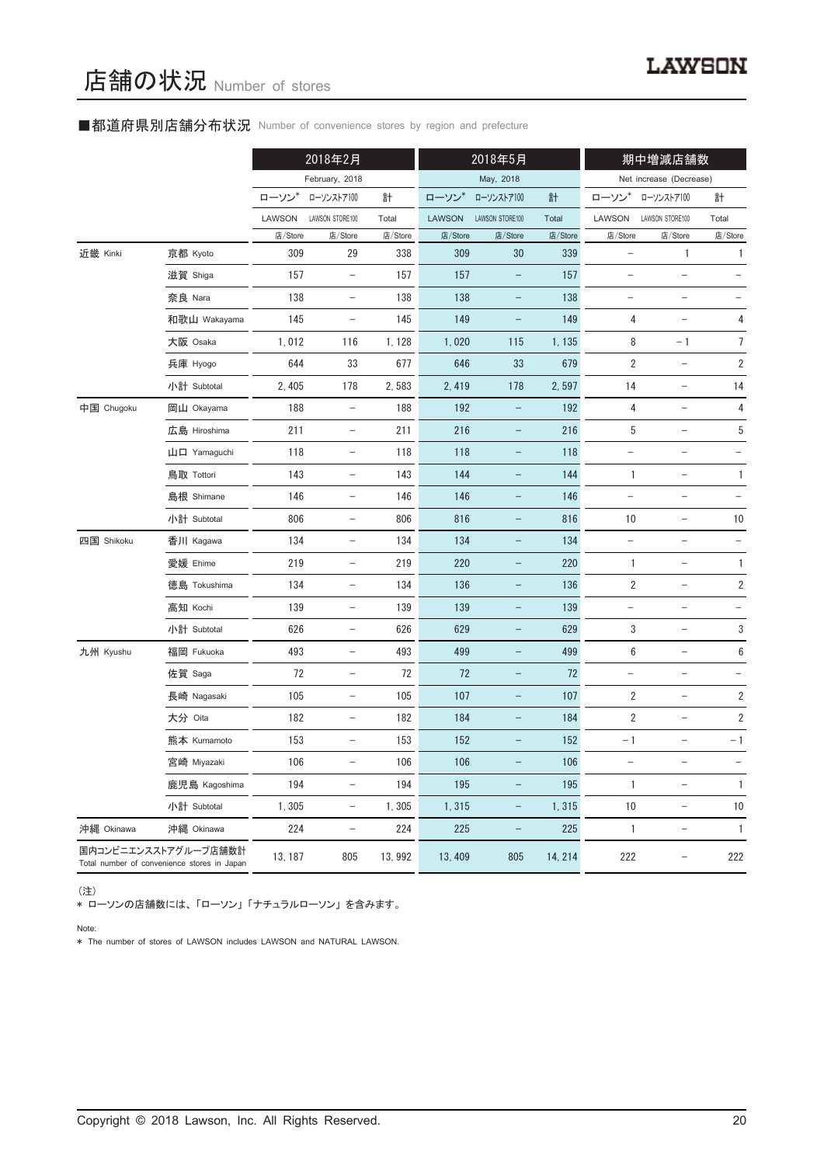## ■都道府県別店舗分布状況 Number of convenience stores by region and prefecture

|            |                                                                     |         | 2018年2月                           |         |               | 2018年5月                  |         |                          | 期中増減店舗数                  |                          |  |
|------------|---------------------------------------------------------------------|---------|-----------------------------------|---------|---------------|--------------------------|---------|--------------------------|--------------------------|--------------------------|--|
|            |                                                                     |         | February, 2018                    |         |               | May, 2018                |         |                          | Net increase (Decrease)  |                          |  |
|            |                                                                     | ローソン*   | ローソンストア100                        | 計       | ローソン          | ローソンストア100               | 計       | ローソン                     | ローソンストア100               | 計                        |  |
|            |                                                                     | LAWSON  | LAWSON STORE100                   | Total   | <b>LAWSON</b> | LAWSON STORE100          | Total   | LAWSON                   | LAWSON STORE100          | Total                    |  |
|            |                                                                     | 店/Store | 店/Store                           | 店/Store | 店/Store       | 店/Store                  | 店/Store | 店/Store                  | 店/Store                  | 店/Store                  |  |
| 近畿 Kinki   | 京都 Kyoto                                                            | 309     | 29                                | 338     | 309           | 30                       | 339     |                          | 1                        | 1                        |  |
|            | 滋賀 Shiga                                                            | 157     | $\overline{\phantom{a}}$          | 157     | 157           | $\qquad \qquad -$        | 157     | $\overline{\phantom{0}}$ | $\overline{\phantom{0}}$ |                          |  |
|            | 奈良 Nara                                                             | 138     | $\qquad \qquad -$                 | 138     | 138           |                          | 138     |                          | $\overline{\phantom{0}}$ |                          |  |
|            | 和歌山 Wakayama                                                        | 145     |                                   | 145     | 149           |                          | 149     | 4                        |                          | 4                        |  |
|            | 大阪 Osaka                                                            | 1,012   | 116                               | 1, 128  | 1,020         | 115                      | 1, 135  | 8                        | $-1$                     | 7                        |  |
|            | 兵庫 Hyogo                                                            | 644     | 33                                | 677     | 646           | 33                       | 679     | $\sqrt{2}$               | $\overline{\phantom{0}}$ | $\sqrt{2}$               |  |
|            | 小計 Subtotal                                                         | 2, 405  | 178                               | 2,583   | 2, 419        | 178                      | 2,597   | 14                       | $\overline{a}$           | 14                       |  |
| 中国 Chugoku | 岡山 Okayama                                                          | 188     | $\overline{\phantom{m}}$          | 188     | 192           |                          | 192     | 4                        |                          | 4                        |  |
|            | 広島 Hiroshima                                                        | 211     | $\qquad \qquad -$                 | 211     | 216           | -                        | 216     | 5                        | $\qquad \qquad -$        | $\sqrt{5}$               |  |
|            | 山口 Yamaguchi                                                        | 118     | $\overline{\phantom{m}}$          | 118     | 118           | $\equiv$                 | 118     | $\overline{\phantom{0}}$ | $\overline{\phantom{0}}$ | $\qquad \qquad -$        |  |
|            | 鳥取 Tottori                                                          | 143     | $\overline{\phantom{0}}$          | 143     | 144           |                          | 144     | $\mathbf{1}$             | $\overline{\phantom{0}}$ | $\mathbf{1}$             |  |
|            | 島根 Shimane                                                          | 146     | $\qquad \qquad -$                 | 146     | 146           | -                        | 146     | $\overline{\phantom{0}}$ | $\qquad \qquad -$        | $\qquad \qquad -$        |  |
|            | 小計 Subtotal                                                         | 806     | $\qquad \qquad -$                 | 806     | 816           | $\qquad \qquad -$        | 816     | 10                       | $\qquad \qquad -$        | 10                       |  |
| 四国 Shikoku | 香川 Kagawa                                                           | 134     | $\overline{\phantom{0}}$          | 134     | 134           | -                        | 134     |                          |                          | $\qquad \qquad -$        |  |
|            | 愛媛 Ehime                                                            | 219     | $\overline{\phantom{m}}$          | 219     | 220           | -                        | 220     | $\mathbf{1}$             | $\overline{\phantom{0}}$ | $\mathbf{1}$             |  |
|            | 徳島 Tokushima                                                        | 134     | $\qquad \qquad -$                 | 134     | 136           | $\qquad \qquad -$        | 136     | $\overline{2}$           | $\qquad \qquad -$        | $\sqrt{2}$               |  |
|            | 高知 Kochi                                                            | 139     | $\overline{\phantom{0}}$          | 139     | 139           | $\qquad \qquad -$        | 139     | $\qquad \qquad -$        | $\qquad \qquad -$        | $\qquad \qquad -$        |  |
|            | 小計 Subtotal                                                         | 626     | $\overline{\phantom{0}}$          | 626     | 629           | $\qquad \qquad -$        | 629     | 3                        | $\overline{\phantom{0}}$ | 3                        |  |
| 九州 Kyushu  | 福岡 Fukuoka                                                          | 493     | $\hspace{0.1in} - \hspace{0.1in}$ | 493     | 499           | $\overline{\phantom{0}}$ | 499     | $\boldsymbol{6}$         | $\qquad \qquad -$        | $\boldsymbol{6}$         |  |
|            | 佐賀 Saga                                                             | 72      | $\qquad \qquad -$                 | 72      | 72            | $\qquad \qquad -$        | 72      | $\overline{a}$           | $\qquad \qquad -$        | $\overline{\phantom{0}}$ |  |
|            | 長崎 Nagasaki                                                         | 105     | $\qquad \qquad -$                 | 105     | 107           | $\overline{\phantom{0}}$ | 107     | $\sqrt{2}$               | $\qquad \qquad -$        | $\sqrt{2}$               |  |
|            | 大分 Oita                                                             | 182     | $\overline{\phantom{0}}$          | 182     | 184           |                          | 184     | $\overline{2}$           |                          | $\sqrt{2}$               |  |
|            | 熊本 Kumamoto                                                         | 153     | $\qquad \qquad -$                 | 153     | 152           | -                        | 152     | $-1$                     | $\qquad \qquad -$        | $-1$                     |  |
|            | 宮崎 Miyazaki                                                         | 106     | $\overline{\phantom{0}}$          | 106     | 106           |                          | 106     | $\qquad \qquad -$        | $\overline{\phantom{0}}$ |                          |  |
|            | 鹿児島 Kagoshima                                                       | 194     | $\overline{\phantom{0}}$          | 194     | 195           |                          | 195     | 1                        |                          | $\mathbf{1}$             |  |
|            | 小計 Subtotal                                                         | 1,305   | $\qquad \qquad -$                 | 1,305   | 1,315         | $\qquad \qquad -$        | 1,315   | 10                       | $\overline{\phantom{m}}$ | 10                       |  |
| 沖縄 Okinawa | 沖縄 Okinawa                                                          | 224     | $\hspace{0.1in} - \hspace{0.1in}$ | 224     | 225           | $\qquad \qquad -$        | 225     | $\mathbf{1}$             | $\overline{\phantom{a}}$ | $\mathbf{1}$             |  |
|            | 国内コンビニエンスストアグループ店舗数計<br>Total number of convenience stores in Japan | 13, 187 | 805                               | 13, 992 | 13, 409       | 805                      | 14, 214 | 222                      |                          | 222                      |  |

(注)

\* ローソンの店舗数には、「ローソン」「ナチュラルローソン」を含みます。

Note:

\* The number of stores of LAWSON includes LAWSON and NATURAL LAWSON.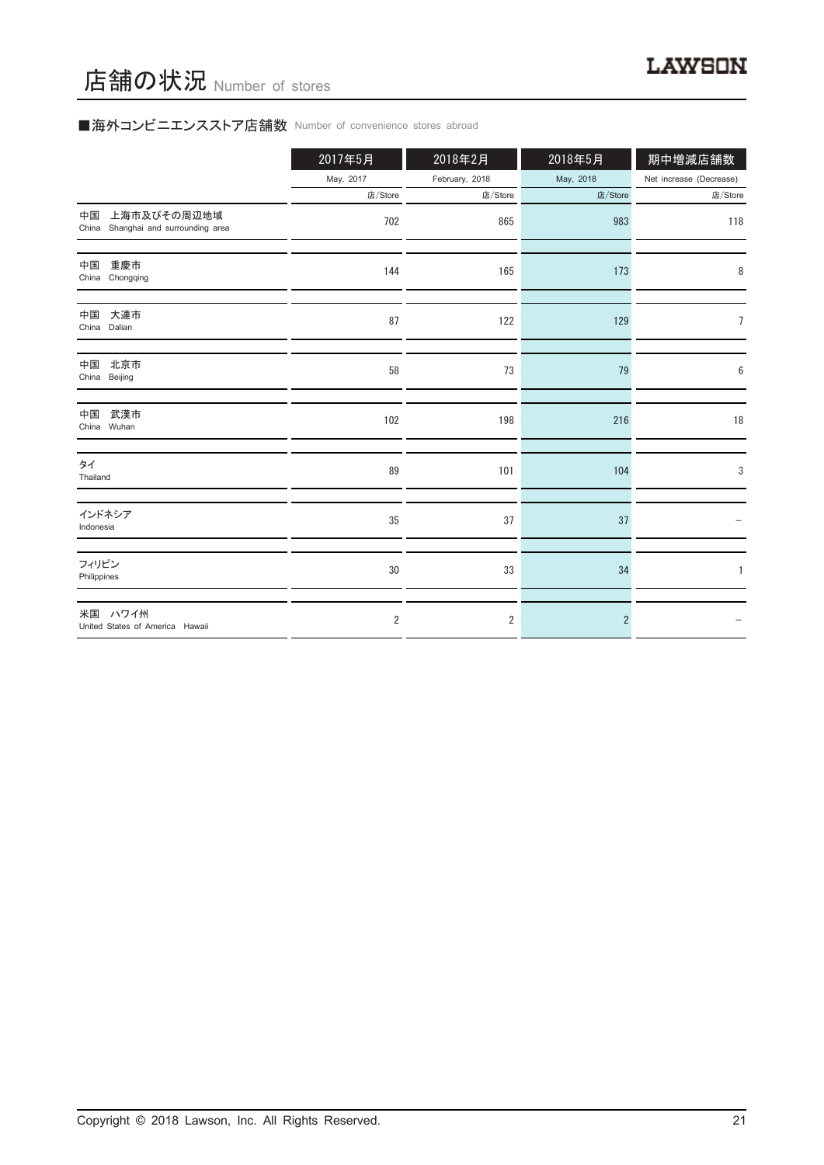# ■海外コンビニエンスストア店舗数 Number of convenience stores abroad

|                                                             | 2017年5月        | 2018年2月        | 2018年5月        | 期中増減店舗数                 |
|-------------------------------------------------------------|----------------|----------------|----------------|-------------------------|
|                                                             | May, 2017      | February, 2018 | May, 2018      | Net increase (Decrease) |
|                                                             | 店/Store        | 店/Store        | 店/Store        | 店/Store                 |
| 上海市及びその周辺地域<br>中国<br>Shanghai and surrounding area<br>China | 702            | 865            | 983            | 118                     |
| 重慶市<br>中国<br>China Chongqing                                | 144            | 165            | 173            | 8                       |
| 中国<br>大連市<br>China Dalian                                   | 87             | 122            | 129            | 7                       |
| 中国<br>北京市<br>China Beijing                                  | 58             | 73             | 79             | 6                       |
| 武漢市<br>中国<br>China Wuhan                                    | 102            | 198            | 216            | 18                      |
| タイ<br>Thailand                                              | 89             | 101            | 104            | 3                       |
| インドネシア<br>Indonesia                                         | 35             | 37             | 37             |                         |
| フィリピン<br>Philippines                                        | 30             | 33             | 34             |                         |
| 米国 ハワイ州<br>United States of America Hawaii                  | $\overline{2}$ | $\overline{2}$ | $\overline{2}$ |                         |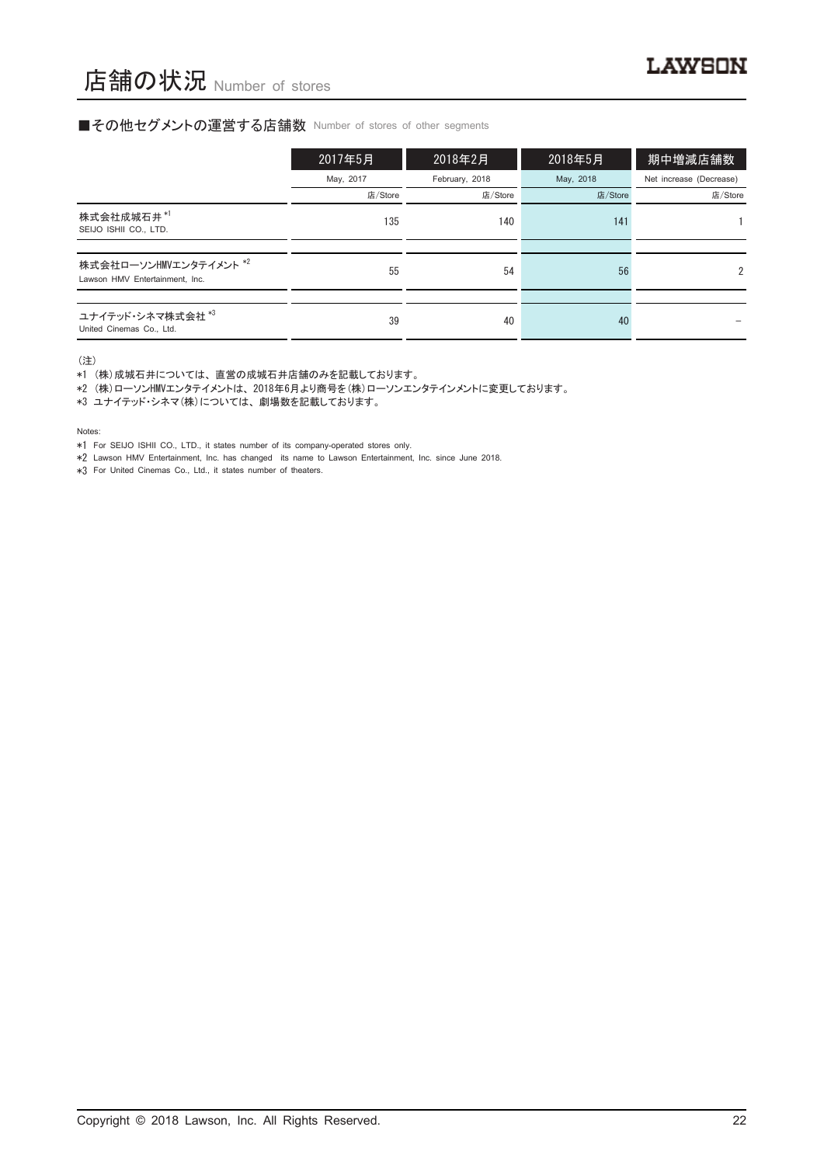#### ■その他セグメントの運営する店舗数 Number of stores of other segments

|                                                          | 2017年5月   | 2018年2月        | 2018年5月   | 期中増減店舗数                 |
|----------------------------------------------------------|-----------|----------------|-----------|-------------------------|
|                                                          | May, 2017 | February, 2018 | May, 2018 | Net increase (Decrease) |
|                                                          | 店/Store   | 店/Store        | 店/Store   | 店/Store                 |
| 株式会社成城石井*1<br>SEIJO ISHII CO., LTD.                      | 135       | 140            | 141       |                         |
|                                                          |           |                |           |                         |
| 株式会社ローソンHMVエンタテイメント *2<br>Lawson HMV Entertainment, Inc. | 55        | 54             | 56        | $\mathfrak{p}$          |
|                                                          |           |                |           |                         |
| ユナイテッド・シネマ株式会社 *3<br>United Cinemas Co., Ltd.            | 39        | 40             | 40        |                         |

(注)

\*1 (株)成城石井については、直営の成城石井店舗のみを記載しております。

\*2 (株)ローソンHMVエンタテイメントは、2018年6月より商号を(株)ローソンエンタテインメントに変更しております。

\*3 ユナイテッド・シネマ(株)については、劇場数を記載しております。

Notes:

\*1 For SEIJO ISHII CO., LTD., it states number of its company-operated stores only.

\*2 Lawson HMV Entertainment, Inc. has changed its name to Lawson Entertainment, Inc. since June 2018.

\*3 For United Cinemas Co., Ltd., it states number of theaters.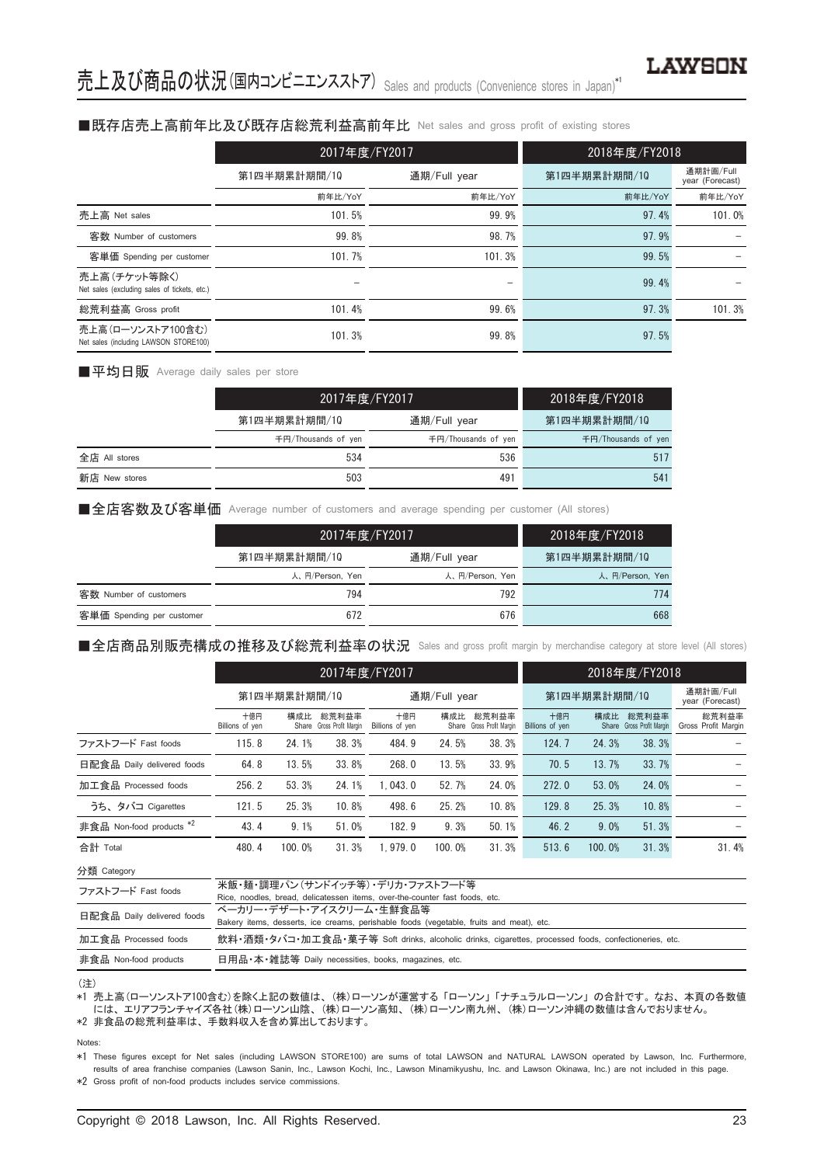#### ■既存店売上高前年比及び既存店総荒利益高前年比 Net sales and gross profit of existing stores

|                                                               | 2017年度/FY2017 |              | 2018年度/FY2018 |                              |
|---------------------------------------------------------------|---------------|--------------|---------------|------------------------------|
|                                                               | 第1四半期累計期間/10  | 通期/Full year | 第1四半期累計期間/10  | 通期計画/Full<br>year (Forecast) |
|                                                               | 前年比/YoY       | 前年比/YoY      | 前年比/YoY       | 前年比/YoY                      |
| 売上高 Net sales                                                 | 101.5%        | 99.9%        | 97.4%         | 101.0%                       |
| 客数 Number of customers                                        | 99.8%         | 98.7%        | 97.9%         |                              |
| 客単価 Spending per customer                                     | 101.7%        | 101.3%       | 99.5%         |                              |
| 売上高 (チケット等除く)<br>Net sales (excluding sales of tickets, etc.) |               | -            | 99.4%         |                              |
| 総荒利益高 Gross profit                                            | 101.4%        | 99.6%        | 97.3%         | 101.3%                       |
| 売上高(ローソンストア100含む)<br>Net sales (including LAWSON STORE100)    | 101.3%        | 99.8%        | 97.5%         |                              |

#### ■平均日販 Average daily sales per store

|               |                     | 2017年度/FY2017       |                     |  |  |
|---------------|---------------------|---------------------|---------------------|--|--|
|               | 第1四半期累計期間/10        | 通期/Full year        | 第1四半期累計期間/10        |  |  |
|               | 千円/Thousands of ven | 千円/Thousands of ven | 千円/Thousands of ven |  |  |
| 全店 All stores | 534                 | 536                 | 517                 |  |  |
| 新店 New stores | 503                 | 491                 | 541                 |  |  |

#### ■全店客数及び客単価 Average number of customers and average spending per customer (All stores)

|                           | 2017年度/FY2017   |                 | 2018年度/FY2018   |
|---------------------------|-----------------|-----------------|-----------------|
|                           | 第1四半期累計期間/10    | 通期/Full year    | 第1四半期累計期間/10    |
|                           | 人、円/Person, Yen | 人、円/Person, Yen | 人、円/Person, Yen |
| 客数 Number of customers    | 794             | 792             | 774             |
| 客単価 Spending per customer | 672             | 676             | 668             |

#### ■全店商品別販売構成の推移及び総荒利益率の状況 Sales and gross profit margin by merchandise category at store level (All stores)

|                                     |                        | 2017年度/FY2017 |                                    |                        |              |                                    |                        | 2018年度/FY2018 |                                    |                              |  |
|-------------------------------------|------------------------|---------------|------------------------------------|------------------------|--------------|------------------------------------|------------------------|---------------|------------------------------------|------------------------------|--|
|                                     |                        | 第1四半期累計期間/10  |                                    |                        | 通期/Full year |                                    |                        | 第1四半期累計期間/10  |                                    |                              |  |
|                                     | 十億円<br>Billions of yen | 構成比           | 総荒利益率<br>Share Gross Profit Margin | 十億円<br>Billions of yen | 構成比          | 総荒利益率<br>Share Gross Profit Margin | 十億円<br>Billions of yen | 構成比           | 総荒利益率<br>Share Gross Profit Margin | 総荒利益率<br>Gross Profit Margin |  |
| ファストフード Fast foods                  | 115.8                  | 24.1%         | 38.3%                              | 484.9                  | 24.5%        | 38.3%                              | 124.7                  | 24.3%         | 38.3%                              |                              |  |
| 日配食品 Daily delivered foods          | 64.8                   | 13.5%         | 33.8%                              | 268.0                  | 13.5%        | 33.9%                              | 70.5                   | 13.7%         | 33.7%                              |                              |  |
| 加工食品 Processed foods                | 256.2                  | 53.3%         | 24.1%                              | 1.043.0                | 52.7%        | 24.0%                              | 272.0                  | 53.0%         | 24.0%                              |                              |  |
| うち、タバコ Cigarettes                   | 121.5                  | 25.3%         | 10.8%                              | 498.6                  | 25.2%        | 10.8%                              | 129.8                  | 25.3%         | 10.8%                              |                              |  |
| 非食品 Non-food products <sup>*2</sup> | 43.4                   | 9.1%          | 51.0%                              | 182.9                  | 9.3%         | 50.1%                              | 46.2                   | 9.0%          | 51.3%                              |                              |  |
| 合計 Total                            | 480.4                  | 100.0%        | 31.3%                              | 1.979.0                | 100.0%       | 31.3%                              | 513.6                  | 100.0%        | 31.3%                              | 31.4%                        |  |

分類 Category

| ファストフード Fast foods         | 米飯・麺・調理パン(サンドイッチ等) デリカ・ファストフード等                                                                      |
|----------------------------|------------------------------------------------------------------------------------------------------|
|                            | Rice, noodles, bread, delicatessen items, over-the-counter fast foods, etc.                          |
| 日配食品 Daily delivered foods | ベーカリー・デザート・アイスクリーム・牛鮮食品等                                                                             |
|                            | Bakery items, desserts, ice creams, perishable foods (vegetable, fruits and meat), etc.              |
| 加工食品 Processed foods       | 飲料・酒類・タバコ・加工食品・菓子等 Soft drinks, alcoholic drinks, cigarettes, processed foods, confectioneries, etc. |
| 非食品 Non-food products      | 日用品•本•雑誌等 Daily necessities, books, magazines, etc.                                                  |

#### (注)

\*1 売上高(ローソンストア100含む)を除く上記の数値は、(株)ローソンが運営する「ローソン」「ナチュラルローソン」の合計です。なお、本頁の各数値 には、エリアフランチャイズ各社(株)ローソン山陰、(株)ローソン高知、(株)ローソン南九州、(株)ローソン沖縄の数値は含んでおりません。 \*2 非食品の総荒利益率は、手数料収入を含め算出しております。

Notes:

\*1 These figures except for Net sales (including LAWSON STORE100) are sums of total LAWSON and NATURAL LAWSON operated by Lawson, Inc. Furthermore, results of area franchise companies (Lawson Sanin, Inc., Lawson Kochi, Inc., Lawson Minamikyushu, Inc. and Lawson Okinawa, Inc.) are not included in this page. \*2 Gross profit of non-food products includes service commissions.